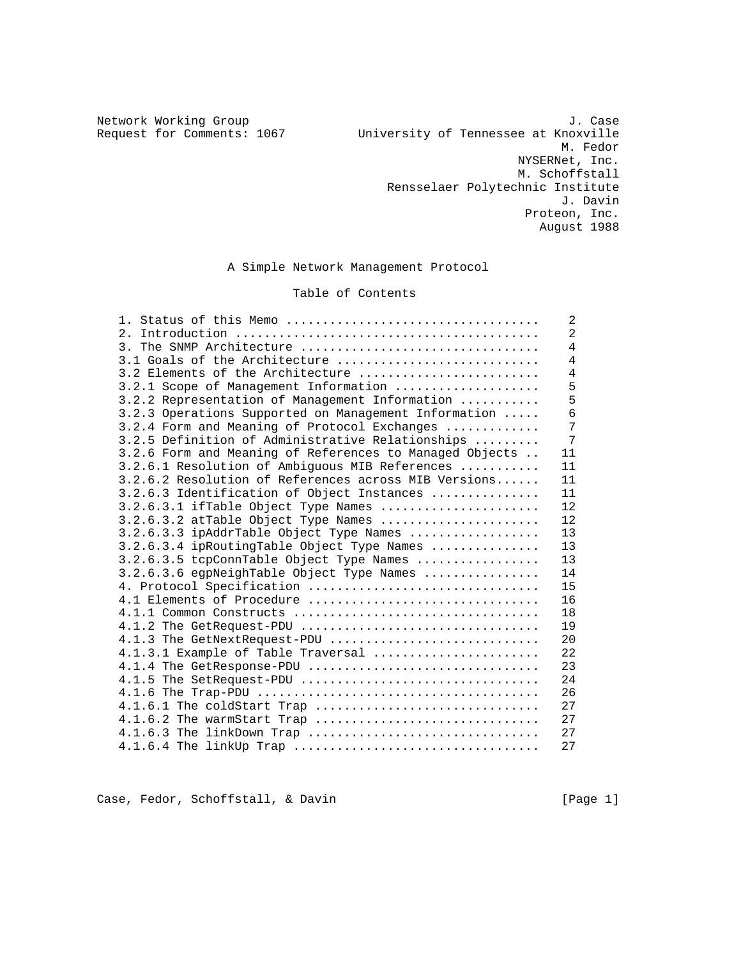Network Working Group and the set of the set of the set of the set of the set of the set of the set of the set of the set of the set of the set of the set of the set of the set of the set of the set of the set of the set o Request for Comments: 1067 University of Tennessee at Knoxville M. Fedor NYSERNet, Inc. M. Schoffstall Rensselaer Polytechnic Institute J. Davin Proteon, Inc. August 1988

A Simple Network Management Protocol

# Table of Contents

| 1. Status of this Memo                                  | 2              |
|---------------------------------------------------------|----------------|
|                                                         | $\overline{2}$ |
| 3. The SNMP Architecture                                | $\overline{4}$ |
| 3.1 Goals of the Architecture                           | $\overline{4}$ |
| 3.2 Elements of the Architecture                        | 4              |
| 3.2.1 Scope of Management Information                   | 5              |
| 3.2.2 Representation of Management Information          | 5              |
| 3.2.3 Operations Supported on Management Information    | 6              |
| 3.2.4 Form and Meaning of Protocol Exchanges            | 7              |
| 3.2.5 Definition of Administrative Relationships        | $\overline{7}$ |
| 3.2.6 Form and Meaning of References to Managed Objects | 11             |
| 3.2.6.1 Resolution of Ambiguous MIB References          | 11             |
| 3.2.6.2 Resolution of References across MIB Versions    | 11             |
| 3.2.6.3 Identification of Object Instances              | 11             |
| $3.2.6.3.1$ if Table Object Type Names                  | 12             |
| 3.2.6.3.2 atTable Object Type Names                     | 12             |
| 3.2.6.3.3 ipAddrTable Object Type Names                 | 13             |
| 3.2.6.3.4 ipRoutingTable Object Type Names              | 13             |
| 3.2.6.3.5 tcpConnTable Object Type Names                | 13             |
| 3.2.6.3.6 egpNeighTable Object Type Names               | 14             |
| 4. Protocol Specification                               | 15             |
| 4.1 Elements of Procedure                               | 16             |
| 4.1.1 Common Constructs                                 | 18             |
| 4.1.2 The GetRequest-PDU                                | 19             |
| 4.1.3 The GetNextRequest-PDU                            | 20             |
| 4.1.3.1 Example of Table Traversal                      | 22             |
| 4.1.4 The GetResponse-PDU                               | 23             |
| $4.1.5$ The SetRequest-PDU                              | 24             |
|                                                         | 26             |
| 4.1.6.1 The coldStart Trap                              | 27             |
| 4.1.6.2 The warmStart Trap                              | 27             |
| 4.1.6.3 The linkDown Trap                               | 27             |
|                                                         | 27             |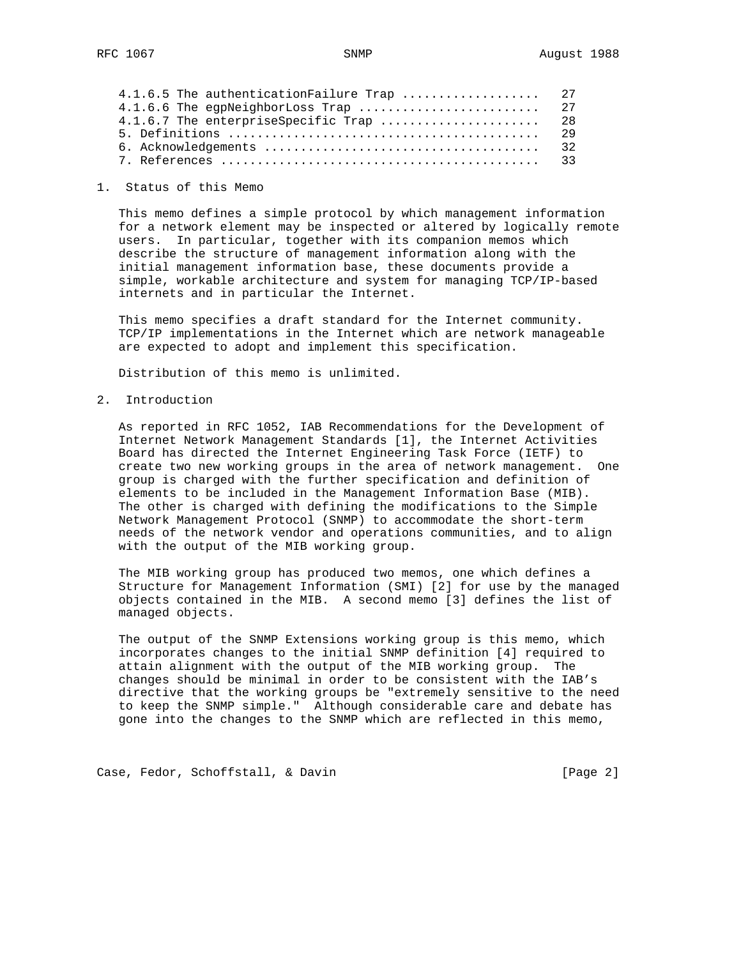| 4.1.6.5 The authenticationFailure Trap  27 |    |
|--------------------------------------------|----|
| 4.1.6.6 The egpNeighborLoss Trap  27       |    |
|                                            |    |
|                                            | 29 |
|                                            |    |
|                                            |    |

#### 1. Status of this Memo

 This memo defines a simple protocol by which management information for a network element may be inspected or altered by logically remote users. In particular, together with its companion memos which describe the structure of management information along with the initial management information base, these documents provide a simple, workable architecture and system for managing TCP/IP-based internets and in particular the Internet.

 This memo specifies a draft standard for the Internet community. TCP/IP implementations in the Internet which are network manageable are expected to adopt and implement this specification.

Distribution of this memo is unlimited.

2. Introduction

 As reported in RFC 1052, IAB Recommendations for the Development of Internet Network Management Standards [1], the Internet Activities Board has directed the Internet Engineering Task Force (IETF) to create two new working groups in the area of network management. One group is charged with the further specification and definition of elements to be included in the Management Information Base (MIB). The other is charged with defining the modifications to the Simple Network Management Protocol (SNMP) to accommodate the short-term needs of the network vendor and operations communities, and to align with the output of the MIB working group.

 The MIB working group has produced two memos, one which defines a Structure for Management Information (SMI) [2] for use by the managed objects contained in the MIB. A second memo [3] defines the list of managed objects.

 The output of the SNMP Extensions working group is this memo, which incorporates changes to the initial SNMP definition [4] required to attain alignment with the output of the MIB working group. The changes should be minimal in order to be consistent with the IAB's directive that the working groups be "extremely sensitive to the need to keep the SNMP simple." Although considerable care and debate has gone into the changes to the SNMP which are reflected in this memo,

Case, Fedor, Schoffstall, & Davin (Page 2)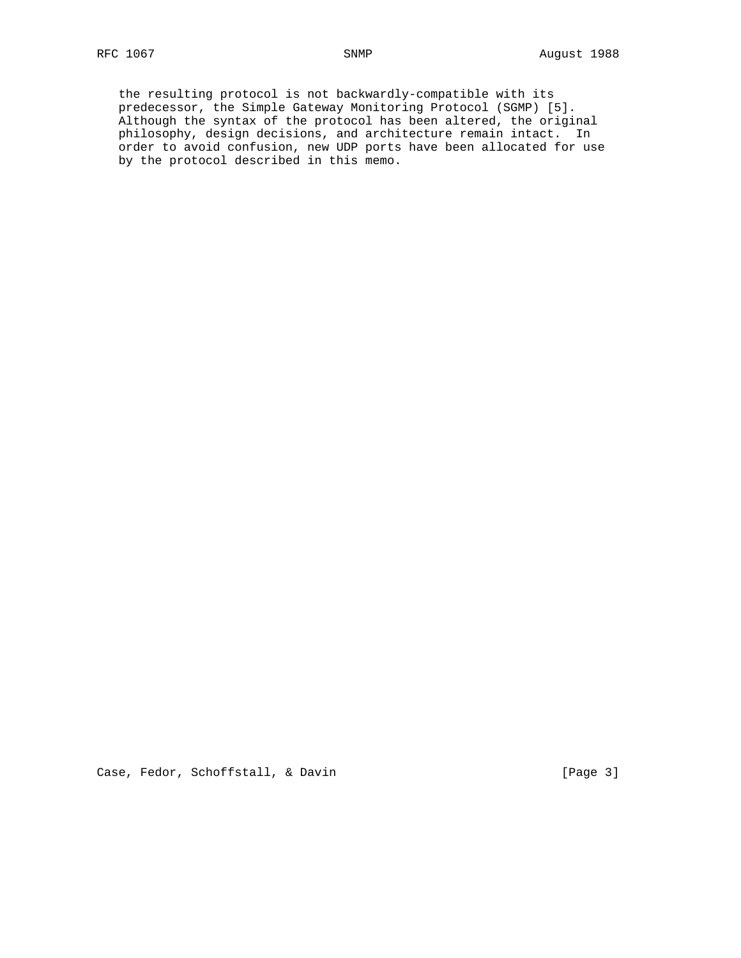the resulting protocol is not backwardly-compatible with its predecessor, the Simple Gateway Monitoring Protocol (SGMP) [5]. Although the syntax of the protocol has been altered, the original philosophy, design decisions, and architecture remain intact. In order to avoid confusion, new UDP ports have been allocated for use by the protocol described in this memo.

Case, Fedor, Schoffstall, & Davin (Page 3)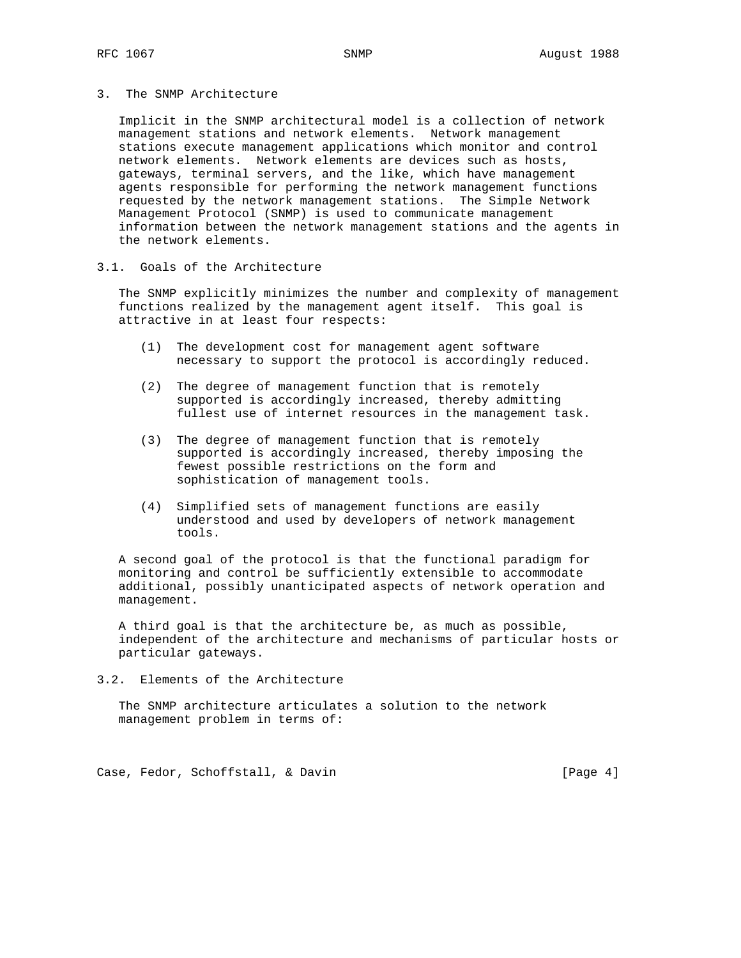# 3. The SNMP Architecture

 Implicit in the SNMP architectural model is a collection of network management stations and network elements. Network management stations execute management applications which monitor and control network elements. Network elements are devices such as hosts, gateways, terminal servers, and the like, which have management agents responsible for performing the network management functions requested by the network management stations. The Simple Network Management Protocol (SNMP) is used to communicate management information between the network management stations and the agents in the network elements.

## 3.1. Goals of the Architecture

 The SNMP explicitly minimizes the number and complexity of management functions realized by the management agent itself. This goal is attractive in at least four respects:

- (1) The development cost for management agent software necessary to support the protocol is accordingly reduced.
- (2) The degree of management function that is remotely supported is accordingly increased, thereby admitting fullest use of internet resources in the management task.
- (3) The degree of management function that is remotely supported is accordingly increased, thereby imposing the fewest possible restrictions on the form and sophistication of management tools.
- (4) Simplified sets of management functions are easily understood and used by developers of network management tools.

 A second goal of the protocol is that the functional paradigm for monitoring and control be sufficiently extensible to accommodate additional, possibly unanticipated aspects of network operation and management.

 A third goal is that the architecture be, as much as possible, independent of the architecture and mechanisms of particular hosts or particular gateways.

3.2. Elements of the Architecture

 The SNMP architecture articulates a solution to the network management problem in terms of:

Case, Fedor, Schoffstall, & Davin and Maria and Search (Page 4)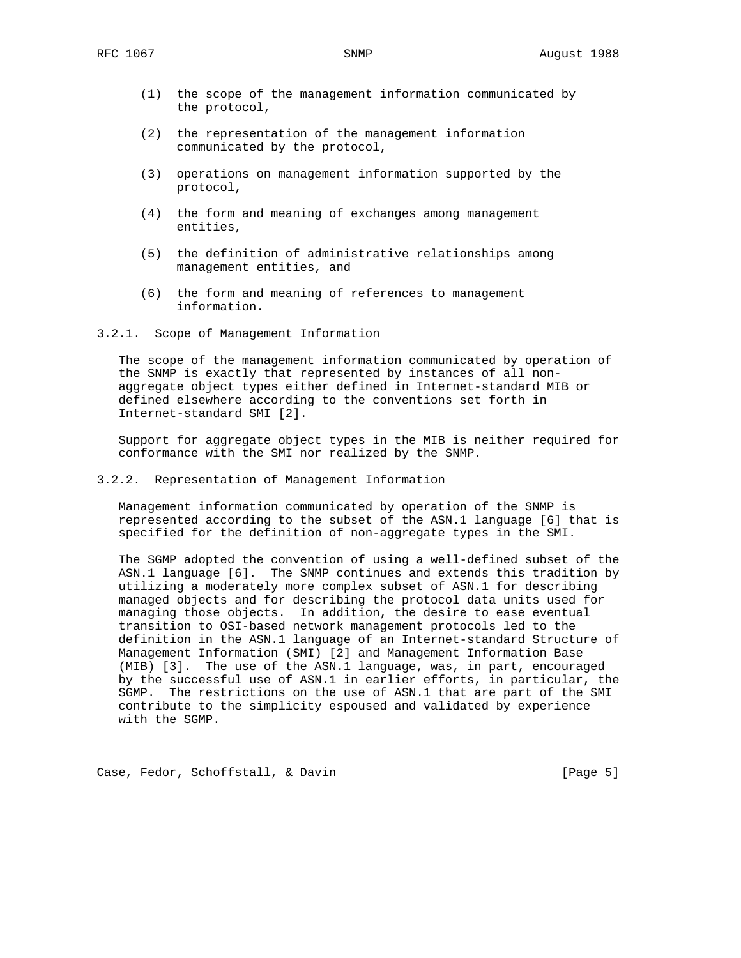- (1) the scope of the management information communicated by the protocol,
- (2) the representation of the management information communicated by the protocol,
- (3) operations on management information supported by the protocol,
- (4) the form and meaning of exchanges among management entities,
- (5) the definition of administrative relationships among management entities, and
- (6) the form and meaning of references to management information.
- 3.2.1. Scope of Management Information

 The scope of the management information communicated by operation of the SNMP is exactly that represented by instances of all non aggregate object types either defined in Internet-standard MIB or defined elsewhere according to the conventions set forth in Internet-standard SMI [2].

 Support for aggregate object types in the MIB is neither required for conformance with the SMI nor realized by the SNMP.

3.2.2. Representation of Management Information

 Management information communicated by operation of the SNMP is represented according to the subset of the ASN.1 language [6] that is specified for the definition of non-aggregate types in the SMI.

 The SGMP adopted the convention of using a well-defined subset of the ASN.1 language [6]. The SNMP continues and extends this tradition by utilizing a moderately more complex subset of ASN.1 for describing managed objects and for describing the protocol data units used for managing those objects. In addition, the desire to ease eventual transition to OSI-based network management protocols led to the definition in the ASN.1 language of an Internet-standard Structure of Management Information (SMI) [2] and Management Information Base (MIB) [3]. The use of the ASN.1 language, was, in part, encouraged by the successful use of ASN.1 in earlier efforts, in particular, the SGMP. The restrictions on the use of ASN.1 that are part of the SMI contribute to the simplicity espoused and validated by experience with the SGMP.

Case, Fedor, Schoffstall, & Davin (Page 5)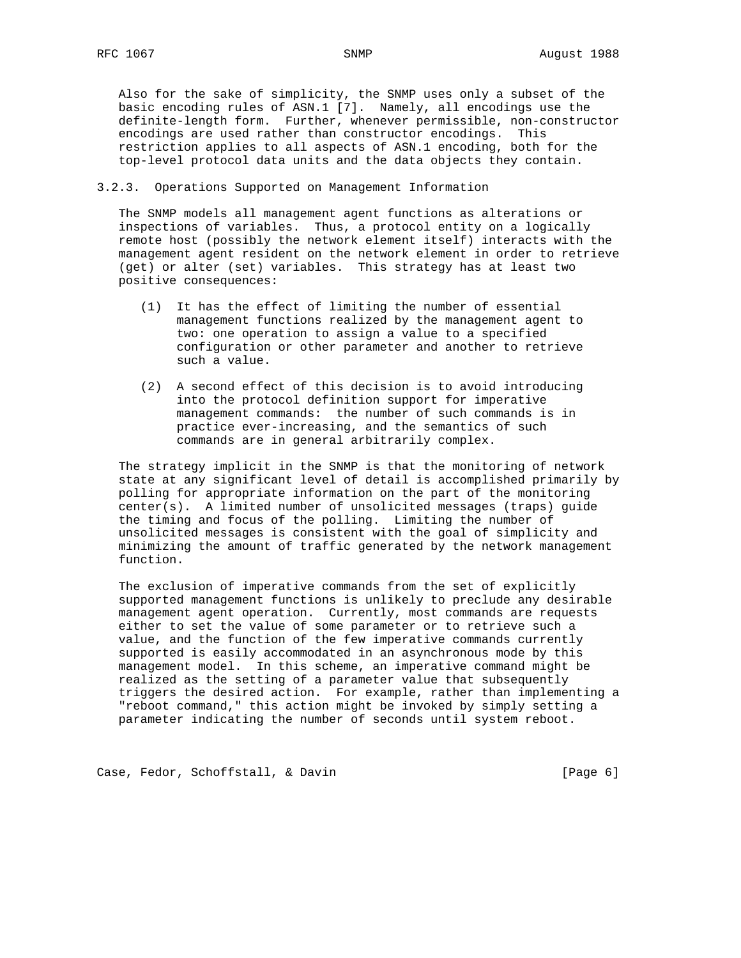Also for the sake of simplicity, the SNMP uses only a subset of the basic encoding rules of ASN.1 [7]. Namely, all encodings use the definite-length form. Further, whenever permissible, non-constructor encodings are used rather than constructor encodings. This restriction applies to all aspects of ASN.1 encoding, both for the top-level protocol data units and the data objects they contain.

# 3.2.3. Operations Supported on Management Information

 The SNMP models all management agent functions as alterations or inspections of variables. Thus, a protocol entity on a logically remote host (possibly the network element itself) interacts with the management agent resident on the network element in order to retrieve (get) or alter (set) variables. This strategy has at least two positive consequences:

- (1) It has the effect of limiting the number of essential management functions realized by the management agent to two: one operation to assign a value to a specified configuration or other parameter and another to retrieve such a value.
- (2) A second effect of this decision is to avoid introducing into the protocol definition support for imperative management commands: the number of such commands is in practice ever-increasing, and the semantics of such commands are in general arbitrarily complex.

 The strategy implicit in the SNMP is that the monitoring of network state at any significant level of detail is accomplished primarily by polling for appropriate information on the part of the monitoring center(s). A limited number of unsolicited messages (traps) guide the timing and focus of the polling. Limiting the number of unsolicited messages is consistent with the goal of simplicity and minimizing the amount of traffic generated by the network management function.

 The exclusion of imperative commands from the set of explicitly supported management functions is unlikely to preclude any desirable management agent operation. Currently, most commands are requests either to set the value of some parameter or to retrieve such a value, and the function of the few imperative commands currently supported is easily accommodated in an asynchronous mode by this management model. In this scheme, an imperative command might be realized as the setting of a parameter value that subsequently triggers the desired action. For example, rather than implementing a "reboot command," this action might be invoked by simply setting a parameter indicating the number of seconds until system reboot.

Case, Fedor, Schoffstall, & Davin (Page 6)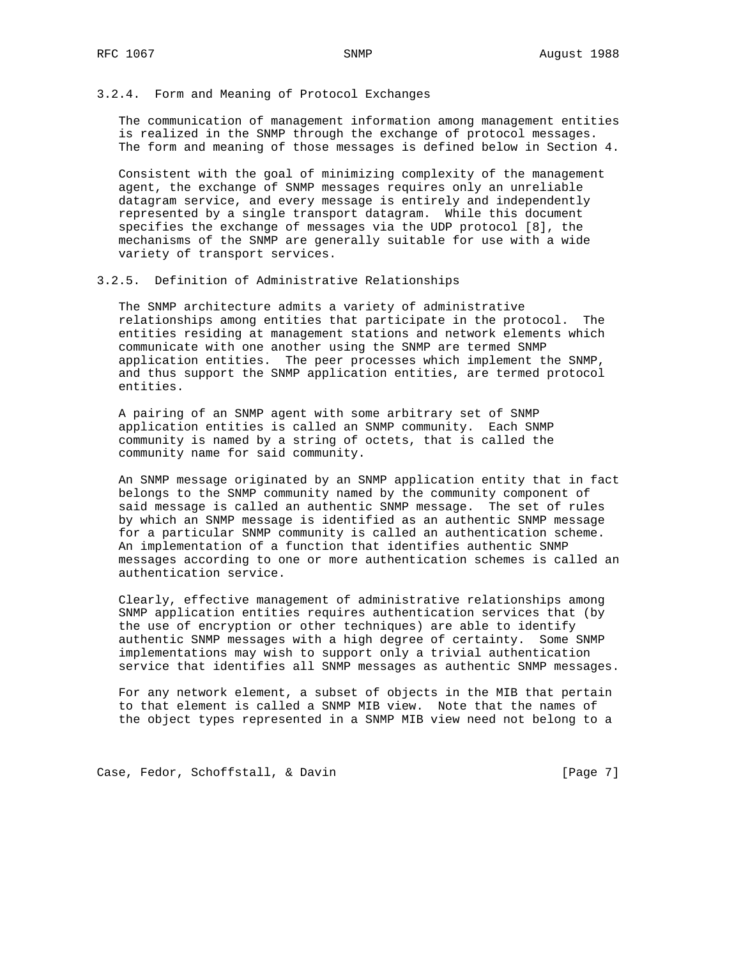### 3.2.4. Form and Meaning of Protocol Exchanges

 The communication of management information among management entities is realized in the SNMP through the exchange of protocol messages. The form and meaning of those messages is defined below in Section 4.

 Consistent with the goal of minimizing complexity of the management agent, the exchange of SNMP messages requires only an unreliable datagram service, and every message is entirely and independently represented by a single transport datagram. While this document specifies the exchange of messages via the UDP protocol [8], the mechanisms of the SNMP are generally suitable for use with a wide variety of transport services.

#### 3.2.5. Definition of Administrative Relationships

 The SNMP architecture admits a variety of administrative relationships among entities that participate in the protocol. The entities residing at management stations and network elements which communicate with one another using the SNMP are termed SNMP application entities. The peer processes which implement the SNMP, and thus support the SNMP application entities, are termed protocol entities.

 A pairing of an SNMP agent with some arbitrary set of SNMP application entities is called an SNMP community. Each SNMP community is named by a string of octets, that is called the community name for said community.

 An SNMP message originated by an SNMP application entity that in fact belongs to the SNMP community named by the community component of said message is called an authentic SNMP message. The set of rules by which an SNMP message is identified as an authentic SNMP message for a particular SNMP community is called an authentication scheme. An implementation of a function that identifies authentic SNMP messages according to one or more authentication schemes is called an authentication service.

 Clearly, effective management of administrative relationships among SNMP application entities requires authentication services that (by the use of encryption or other techniques) are able to identify authentic SNMP messages with a high degree of certainty. Some SNMP implementations may wish to support only a trivial authentication service that identifies all SNMP messages as authentic SNMP messages.

 For any network element, a subset of objects in the MIB that pertain to that element is called a SNMP MIB view. Note that the names of the object types represented in a SNMP MIB view need not belong to a

Case, Fedor, Schoffstall, & Davin (Page 7)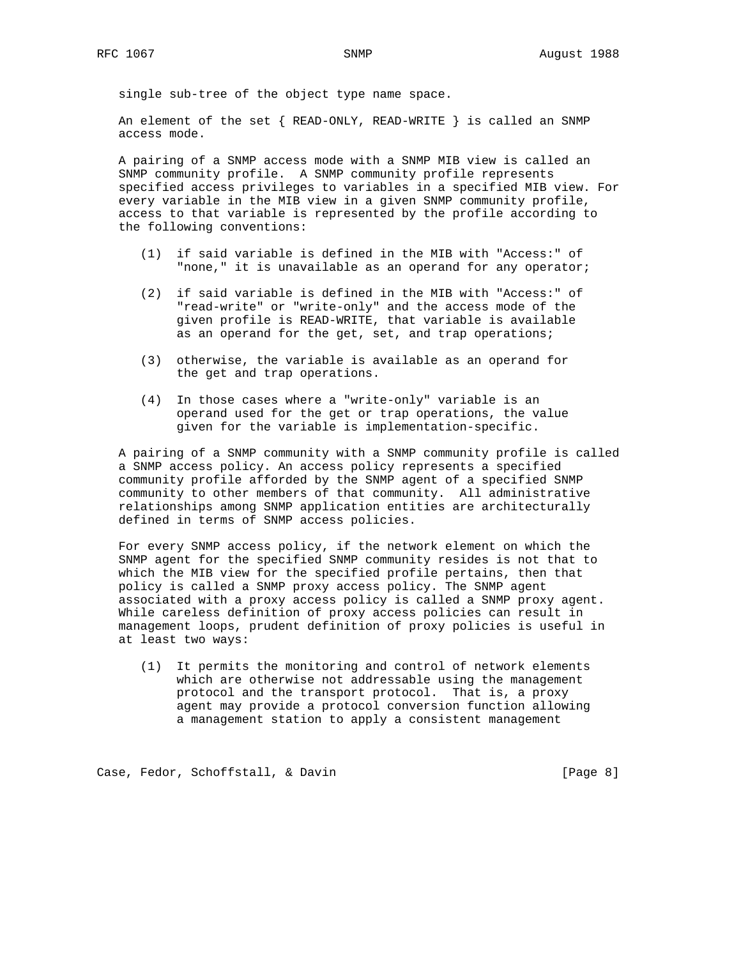single sub-tree of the object type name space.

 An element of the set { READ-ONLY, READ-WRITE } is called an SNMP access mode.

 A pairing of a SNMP access mode with a SNMP MIB view is called an SNMP community profile. A SNMP community profile represents specified access privileges to variables in a specified MIB view. For every variable in the MIB view in a given SNMP community profile, access to that variable is represented by the profile according to the following conventions:

- (1) if said variable is defined in the MIB with "Access:" of "none," it is unavailable as an operand for any operator;
- (2) if said variable is defined in the MIB with "Access:" of "read-write" or "write-only" and the access mode of the given profile is READ-WRITE, that variable is available as an operand for the get, set, and trap operations;
- (3) otherwise, the variable is available as an operand for the get and trap operations.
- (4) In those cases where a "write-only" variable is an operand used for the get or trap operations, the value given for the variable is implementation-specific.

 A pairing of a SNMP community with a SNMP community profile is called a SNMP access policy. An access policy represents a specified community profile afforded by the SNMP agent of a specified SNMP community to other members of that community. All administrative relationships among SNMP application entities are architecturally defined in terms of SNMP access policies.

 For every SNMP access policy, if the network element on which the SNMP agent for the specified SNMP community resides is not that to which the MIB view for the specified profile pertains, then that policy is called a SNMP proxy access policy. The SNMP agent associated with a proxy access policy is called a SNMP proxy agent. While careless definition of proxy access policies can result in management loops, prudent definition of proxy policies is useful in at least two ways:

 (1) It permits the monitoring and control of network elements which are otherwise not addressable using the management protocol and the transport protocol. That is, a proxy agent may provide a protocol conversion function allowing a management station to apply a consistent management

Case, Fedor, Schoffstall, & Davin (Page 8)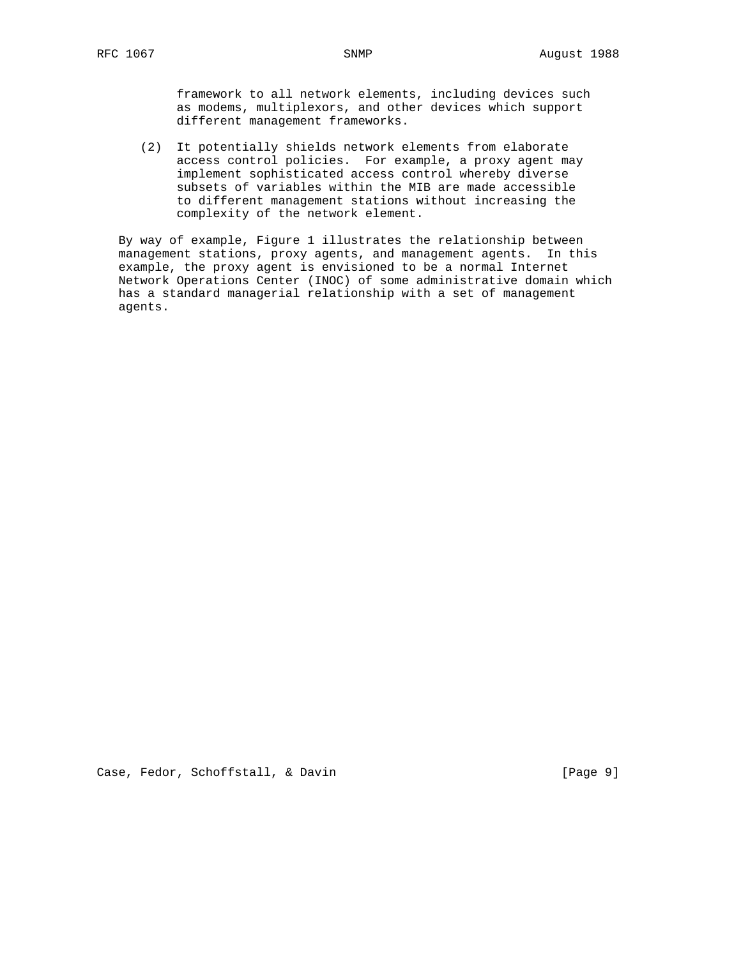framework to all network elements, including devices such as modems, multiplexors, and other devices which support different management frameworks.

 (2) It potentially shields network elements from elaborate access control policies. For example, a proxy agent may implement sophisticated access control whereby diverse subsets of variables within the MIB are made accessible to different management stations without increasing the complexity of the network element.

 By way of example, Figure 1 illustrates the relationship between management stations, proxy agents, and management agents. In this example, the proxy agent is envisioned to be a normal Internet Network Operations Center (INOC) of some administrative domain which has a standard managerial relationship with a set of management agents.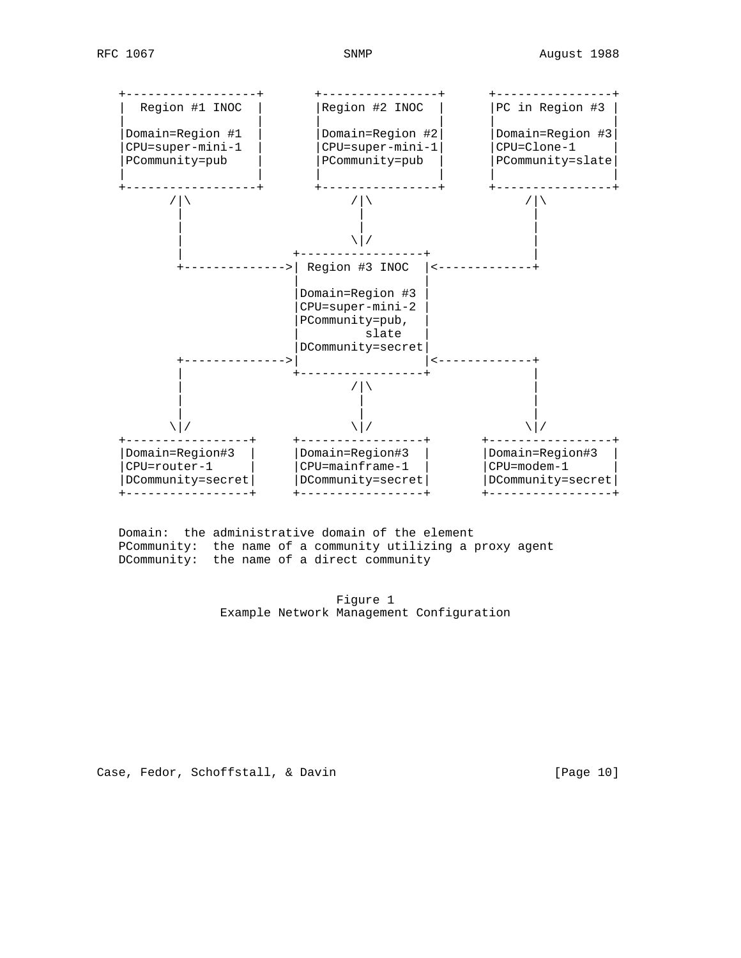

 Domain: the administrative domain of the element PCommunity: the name of a community utilizing a proxy agent DCommunity: the name of a direct community

> Figure 1 Example Network Management Configuration

Case, Fedor, Schoffstall, & Davin [Page 10]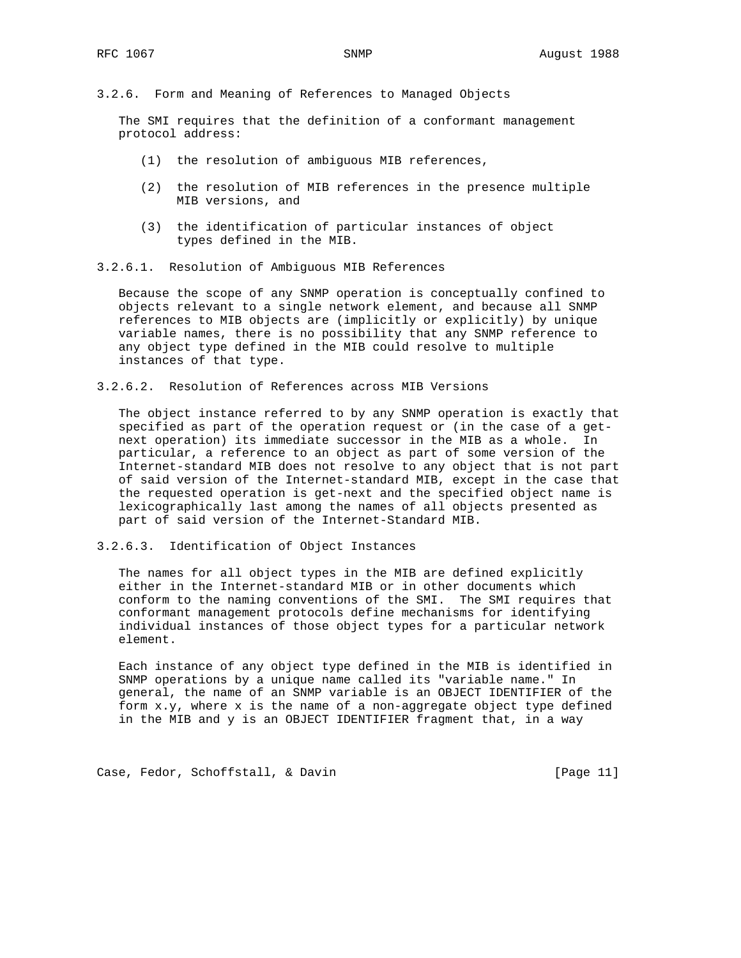3.2.6. Form and Meaning of References to Managed Objects

 The SMI requires that the definition of a conformant management protocol address:

- (1) the resolution of ambiguous MIB references,
- (2) the resolution of MIB references in the presence multiple MIB versions, and
- (3) the identification of particular instances of object types defined in the MIB.
- 3.2.6.1. Resolution of Ambiguous MIB References

 Because the scope of any SNMP operation is conceptually confined to objects relevant to a single network element, and because all SNMP references to MIB objects are (implicitly or explicitly) by unique variable names, there is no possibility that any SNMP reference to any object type defined in the MIB could resolve to multiple instances of that type.

3.2.6.2. Resolution of References across MIB Versions

 The object instance referred to by any SNMP operation is exactly that specified as part of the operation request or (in the case of a get next operation) its immediate successor in the MIB as a whole. In particular, a reference to an object as part of some version of the Internet-standard MIB does not resolve to any object that is not part of said version of the Internet-standard MIB, except in the case that the requested operation is get-next and the specified object name is lexicographically last among the names of all objects presented as part of said version of the Internet-Standard MIB.

3.2.6.3. Identification of Object Instances

 The names for all object types in the MIB are defined explicitly either in the Internet-standard MIB or in other documents which conform to the naming conventions of the SMI. The SMI requires that conformant management protocols define mechanisms for identifying individual instances of those object types for a particular network element.

 Each instance of any object type defined in the MIB is identified in SNMP operations by a unique name called its "variable name." In general, the name of an SNMP variable is an OBJECT IDENTIFIER of the form x.y, where x is the name of a non-aggregate object type defined in the MIB and y is an OBJECT IDENTIFIER fragment that, in a way

Case, Fedor, Schoffstall, & Davin [Page 11]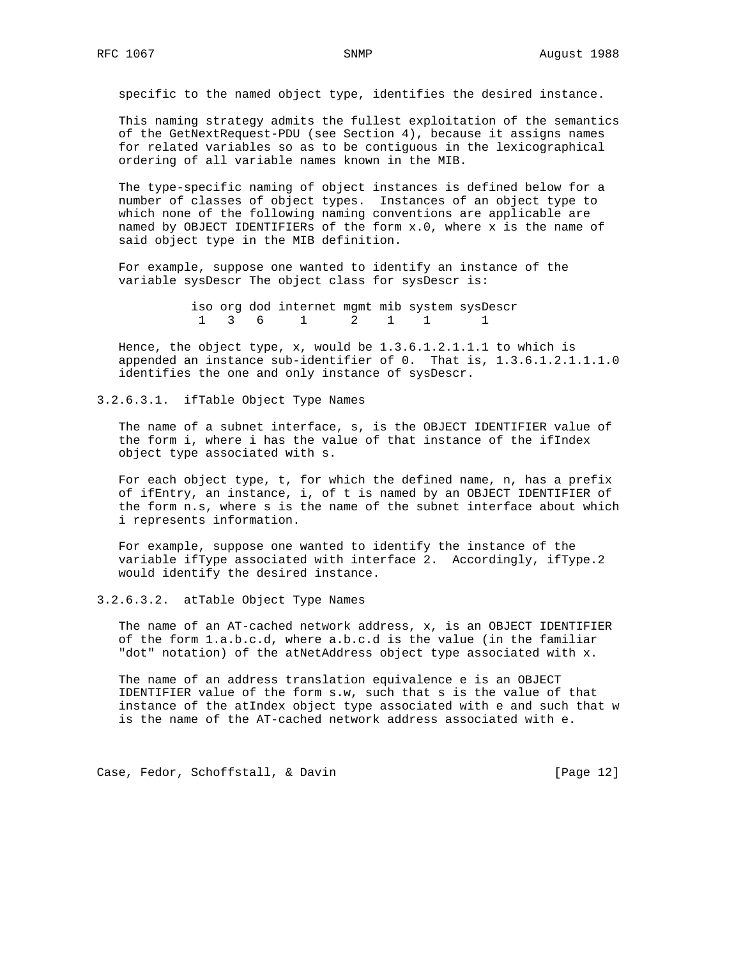specific to the named object type, identifies the desired instance.

 This naming strategy admits the fullest exploitation of the semantics of the GetNextRequest-PDU (see Section 4), because it assigns names for related variables so as to be contiguous in the lexicographical ordering of all variable names known in the MIB.

 The type-specific naming of object instances is defined below for a number of classes of object types. Instances of an object type to which none of the following naming conventions are applicable are named by OBJECT IDENTIFIERs of the form x.0, where x is the name of said object type in the MIB definition.

 For example, suppose one wanted to identify an instance of the variable sysDescr The object class for sysDescr is:

> iso org dod internet mgmt mib system sysDescr 1 3 6 1 2 1 1 1

 Hence, the object type, x, would be 1.3.6.1.2.1.1.1 to which is appended an instance sub-identifier of 0. That is, 1.3.6.1.2.1.1.1.0 identifies the one and only instance of sysDescr.

3.2.6.3.1. ifTable Object Type Names

 The name of a subnet interface, s, is the OBJECT IDENTIFIER value of the form i, where i has the value of that instance of the ifIndex object type associated with s.

 For each object type, t, for which the defined name, n, has a prefix of ifEntry, an instance, i, of t is named by an OBJECT IDENTIFIER of the form n.s, where s is the name of the subnet interface about which i represents information.

 For example, suppose one wanted to identify the instance of the variable ifType associated with interface 2. Accordingly, ifType.2 would identify the desired instance.

3.2.6.3.2. atTable Object Type Names

 The name of an AT-cached network address, x, is an OBJECT IDENTIFIER of the form 1.a.b.c.d, where a.b.c.d is the value (in the familiar "dot" notation) of the atNetAddress object type associated with x.

 The name of an address translation equivalence e is an OBJECT IDENTIFIER value of the form s.w, such that s is the value of that instance of the atIndex object type associated with e and such that w is the name of the AT-cached network address associated with e.

Case, Fedor, Schoffstall, & Davin [Page 12]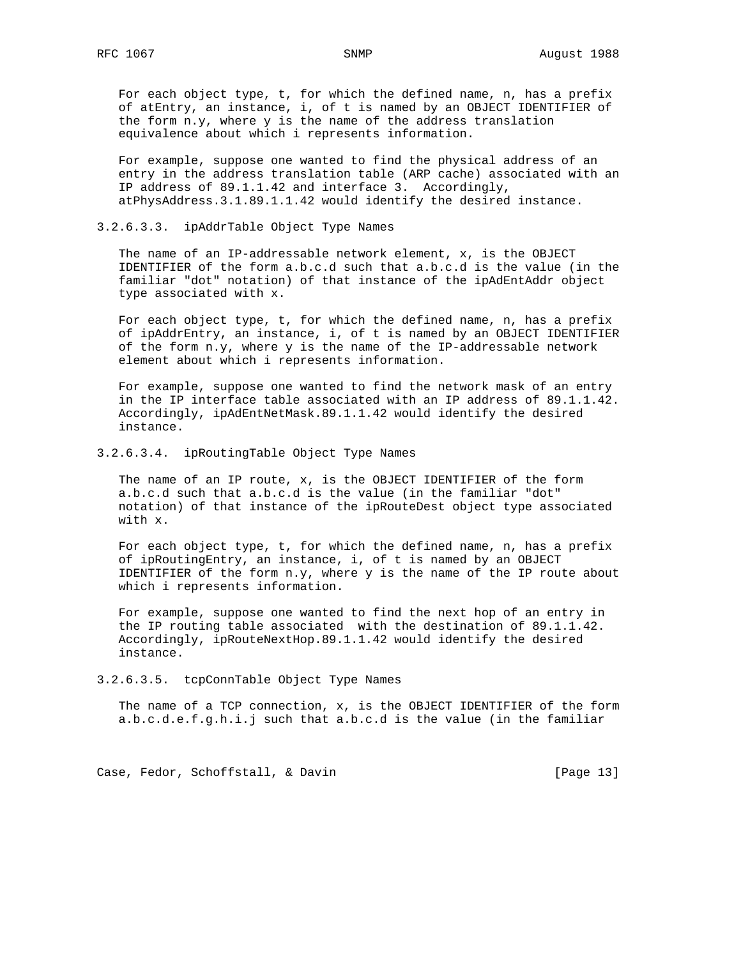For each object type, t, for which the defined name, n, has a prefix of atEntry, an instance, i, of t is named by an OBJECT IDENTIFIER of the form n.y, where y is the name of the address translation equivalence about which i represents information.

 For example, suppose one wanted to find the physical address of an entry in the address translation table (ARP cache) associated with an IP address of 89.1.1.42 and interface 3. Accordingly, atPhysAddress.3.1.89.1.1.42 would identify the desired instance.

## 3.2.6.3.3. ipAddrTable Object Type Names

 The name of an IP-addressable network element, x, is the OBJECT IDENTIFIER of the form a.b.c.d such that a.b.c.d is the value (in the familiar "dot" notation) of that instance of the ipAdEntAddr object type associated with x.

 For each object type, t, for which the defined name, n, has a prefix of ipAddrEntry, an instance, i, of t is named by an OBJECT IDENTIFIER of the form n.y, where y is the name of the IP-addressable network element about which i represents information.

 For example, suppose one wanted to find the network mask of an entry in the IP interface table associated with an IP address of 89.1.1.42. Accordingly, ipAdEntNetMask.89.1.1.42 would identify the desired instance.

### 3.2.6.3.4. ipRoutingTable Object Type Names

 The name of an IP route, x, is the OBJECT IDENTIFIER of the form a.b.c.d such that a.b.c.d is the value (in the familiar "dot" notation) of that instance of the ipRouteDest object type associated with x.

 For each object type, t, for which the defined name, n, has a prefix of ipRoutingEntry, an instance, i, of t is named by an OBJECT IDENTIFIER of the form  $n.y$ , where  $y$  is the name of the IP route about which i represents information.

 For example, suppose one wanted to find the next hop of an entry in the IP routing table associated with the destination of 89.1.1.42. Accordingly, ipRouteNextHop.89.1.1.42 would identify the desired instance.

3.2.6.3.5. tcpConnTable Object Type Names

 The name of a TCP connection, x, is the OBJECT IDENTIFIER of the form a.b.c.d.e.f.g.h.i.j such that a.b.c.d is the value (in the familiar

Case, Fedor, Schoffstall, & Davin [Page 13]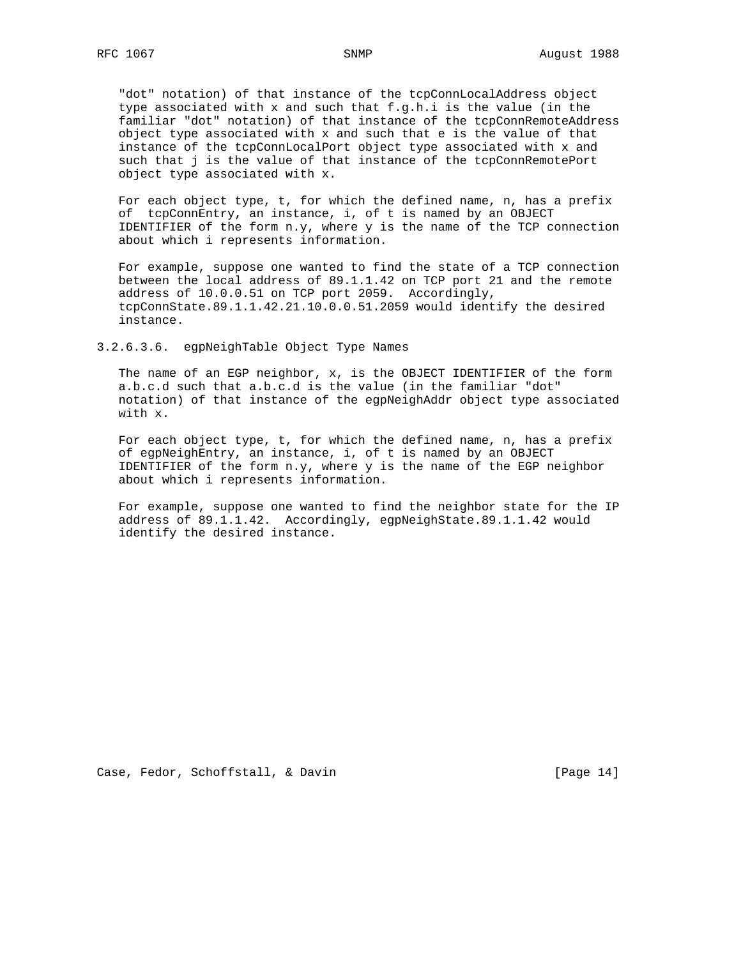"dot" notation) of that instance of the tcpConnLocalAddress object type associated with x and such that f.g.h.i is the value (in the familiar "dot" notation) of that instance of the tcpConnRemoteAddress object type associated with x and such that e is the value of that instance of the tcpConnLocalPort object type associated with x and such that j is the value of that instance of the tcpConnRemotePort object type associated with x.

 For each object type, t, for which the defined name, n, has a prefix of tcpConnEntry, an instance, i, of t is named by an OBJECT IDENTIFIER of the form  $n.y$ , where  $y$  is the name of the TCP connection about which i represents information.

 For example, suppose one wanted to find the state of a TCP connection between the local address of 89.1.1.42 on TCP port 21 and the remote address of 10.0.0.51 on TCP port 2059. Accordingly, tcpConnState.89.1.1.42.21.10.0.0.51.2059 would identify the desired instance.

3.2.6.3.6. egpNeighTable Object Type Names

 The name of an EGP neighbor, x, is the OBJECT IDENTIFIER of the form a.b.c.d such that a.b.c.d is the value (in the familiar "dot" notation) of that instance of the egpNeighAddr object type associated with x.

 For each object type, t, for which the defined name, n, has a prefix of egpNeighEntry, an instance, i, of t is named by an OBJECT IDENTIFIER of the form  $n.y$ , where  $y$  is the name of the EGP neighbor about which i represents information.

 For example, suppose one wanted to find the neighbor state for the IP address of 89.1.1.42. Accordingly, egpNeighState.89.1.1.42 would identify the desired instance.

Case, Fedor, Schoffstall, & Davin [Page 14]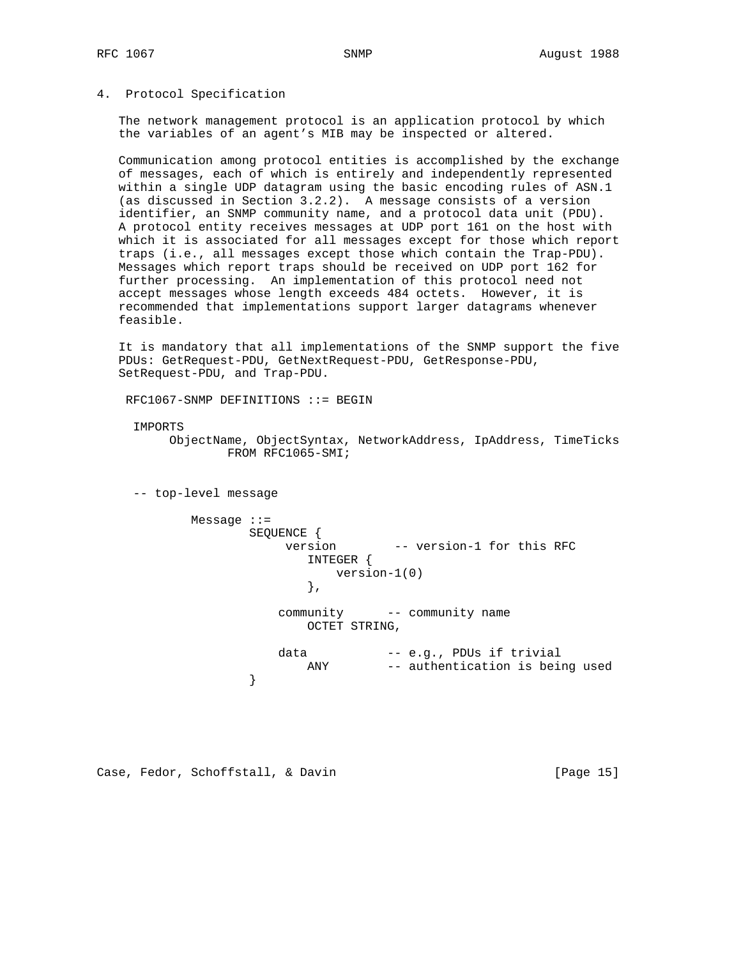# 4. Protocol Specification

 The network management protocol is an application protocol by which the variables of an agent's MIB may be inspected or altered.

 Communication among protocol entities is accomplished by the exchange of messages, each of which is entirely and independently represented within a single UDP datagram using the basic encoding rules of ASN.1 (as discussed in Section 3.2.2). A message consists of a version identifier, an SNMP community name, and a protocol data unit (PDU). A protocol entity receives messages at UDP port 161 on the host with which it is associated for all messages except for those which report traps (i.e., all messages except those which contain the Trap-PDU). Messages which report traps should be received on UDP port 162 for further processing. An implementation of this protocol need not accept messages whose length exceeds 484 octets. However, it is recommended that implementations support larger datagrams whenever feasible.

 It is mandatory that all implementations of the SNMP support the five PDUs: GetRequest-PDU, GetNextRequest-PDU, GetResponse-PDU, SetRequest-PDU, and Trap-PDU.

```
 RFC1067-SNMP DEFINITIONS ::= BEGIN
```
IMPORTS

 ObjectName, ObjectSyntax, NetworkAddress, IpAddress, TimeTicks FROM RFC1065-SMI;

-- top-level message

```
 Message ::=
               SEQUENCE {<br>version
                              -- version-1 for this RFC
                      INTEGER {
                        version-1(0)
\},
                   community -- community name
                      OCTET STRING,
                  data -- e.g., PDUs if trivial
               ANY -- authentication is being used }
 }
```
Case, Fedor, Schoffstall, & Davin [Page 15]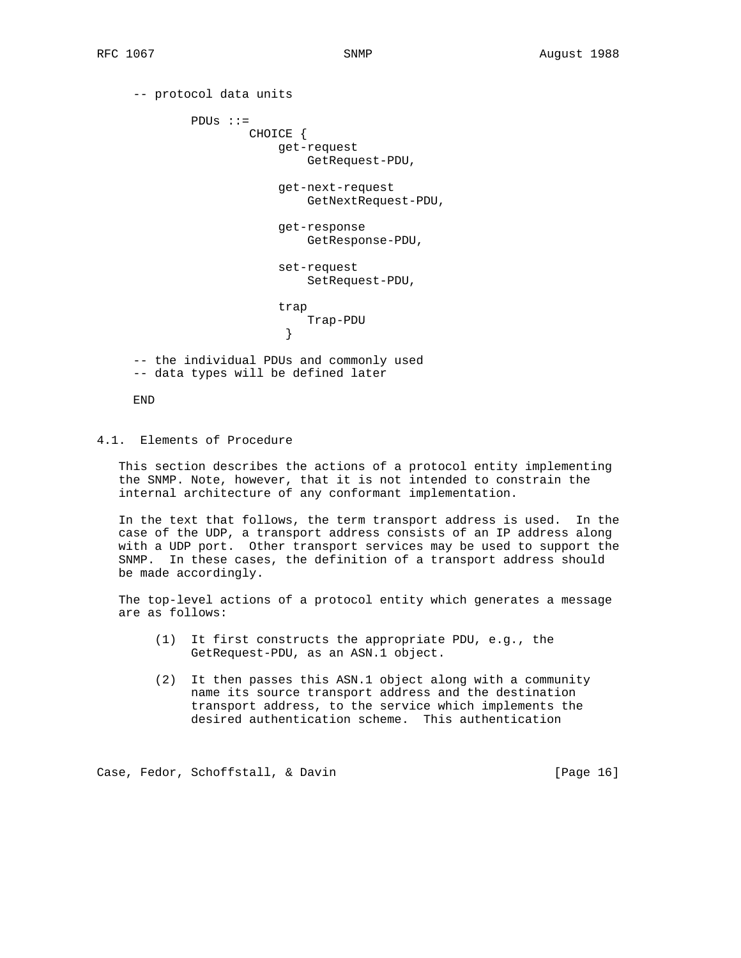```
 -- protocol data units
             PDUs ::=
                     CHOICE {
                         get-request
                             GetRequest-PDU,
                         get-next-request
                             GetNextRequest-PDU,
                         get-response
                             GetResponse-PDU,
                         set-request
                             SetRequest-PDU,
                         trap
                             Trap-PDU
 }
     -- the individual PDUs and commonly used
     -- data types will be defined later
```
END

# 4.1. Elements of Procedure

 This section describes the actions of a protocol entity implementing the SNMP. Note, however, that it is not intended to constrain the internal architecture of any conformant implementation.

 In the text that follows, the term transport address is used. In the case of the UDP, a transport address consists of an IP address along with a UDP port. Other transport services may be used to support the SNMP. In these cases, the definition of a transport address should be made accordingly.

 The top-level actions of a protocol entity which generates a message are as follows:

- (1) It first constructs the appropriate PDU, e.g., the GetRequest-PDU, as an ASN.1 object.
- (2) It then passes this ASN.1 object along with a community name its source transport address and the destination transport address, to the service which implements the desired authentication scheme. This authentication

Case, Fedor, Schoffstall, & Davin (Page 16)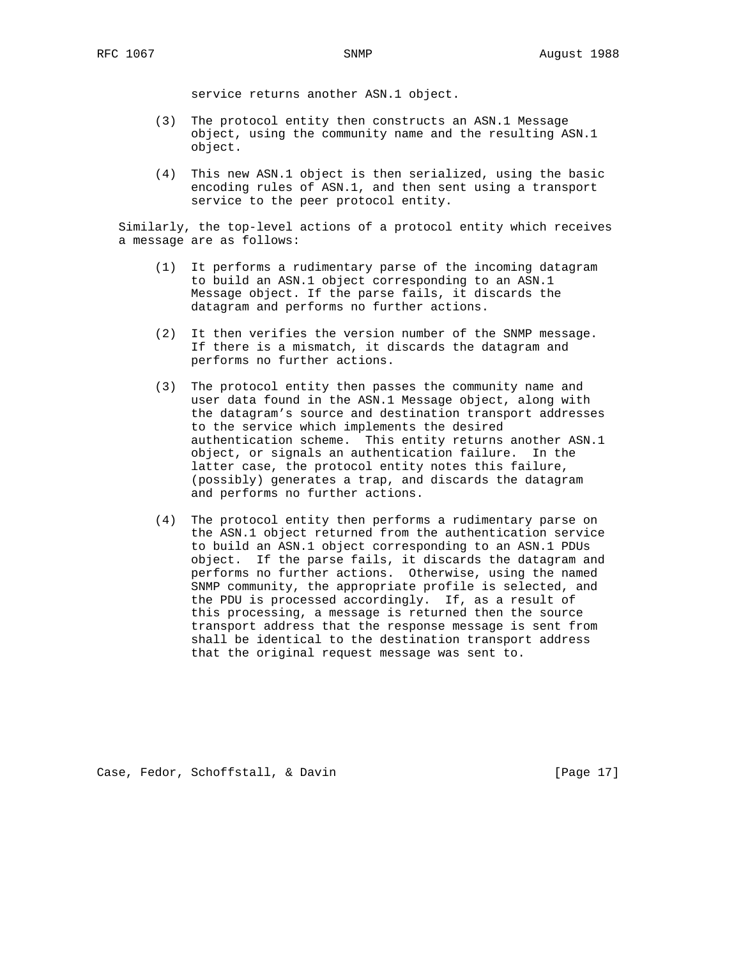service returns another ASN.1 object.

- (3) The protocol entity then constructs an ASN.1 Message object, using the community name and the resulting ASN.1 object.
- (4) This new ASN.1 object is then serialized, using the basic encoding rules of ASN.1, and then sent using a transport service to the peer protocol entity.

 Similarly, the top-level actions of a protocol entity which receives a message are as follows:

- (1) It performs a rudimentary parse of the incoming datagram to build an ASN.1 object corresponding to an ASN.1 Message object. If the parse fails, it discards the datagram and performs no further actions.
- (2) It then verifies the version number of the SNMP message. If there is a mismatch, it discards the datagram and performs no further actions.
- (3) The protocol entity then passes the community name and user data found in the ASN.1 Message object, along with the datagram's source and destination transport addresses to the service which implements the desired authentication scheme. This entity returns another ASN.1 object, or signals an authentication failure. In the latter case, the protocol entity notes this failure, (possibly) generates a trap, and discards the datagram and performs no further actions.
- (4) The protocol entity then performs a rudimentary parse on the ASN.1 object returned from the authentication service to build an ASN.1 object corresponding to an ASN.1 PDUs object. If the parse fails, it discards the datagram and performs no further actions. Otherwise, using the named SNMP community, the appropriate profile is selected, and the PDU is processed accordingly. If, as a result of this processing, a message is returned then the source transport address that the response message is sent from shall be identical to the destination transport address that the original request message was sent to.

Case, Fedor, Schoffstall, & Davin [Page 17]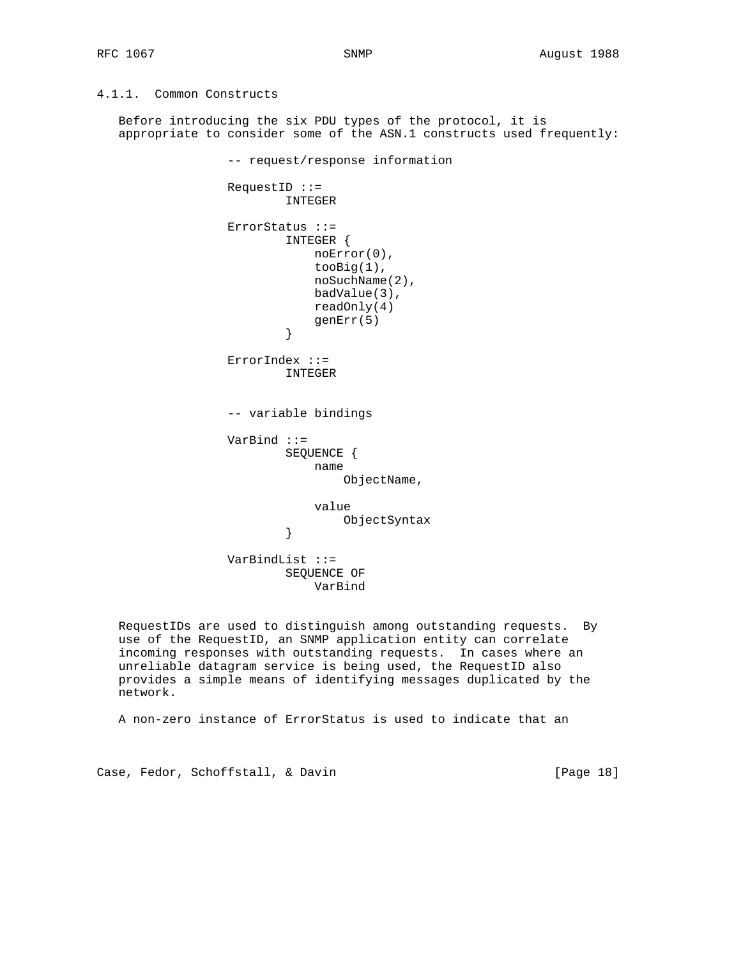# 4.1.1. Common Constructs

 Before introducing the six PDU types of the protocol, it is appropriate to consider some of the ASN.1 constructs used frequently:

 -- request/response information RequestID ::= INTEGER ErrorStatus ::= INTEGER { noError(0), tooBig(1), noSuchName(2), badValue(3), readOnly(4) genErr(5)<br>} } ErrorIndex ::= INTEGER -- variable bindings VarBind ::= SEQUENCE { name ObjectName, value ObjectSyntax<br>} } VarBindList ::= SEQUENCE OF VarBind

 RequestIDs are used to distinguish among outstanding requests. By use of the RequestID, an SNMP application entity can correlate incoming responses with outstanding requests. In cases where an unreliable datagram service is being used, the RequestID also provides a simple means of identifying messages duplicated by the network.

A non-zero instance of ErrorStatus is used to indicate that an

Case, Fedor, Schoffstall, & Davin [Page 18]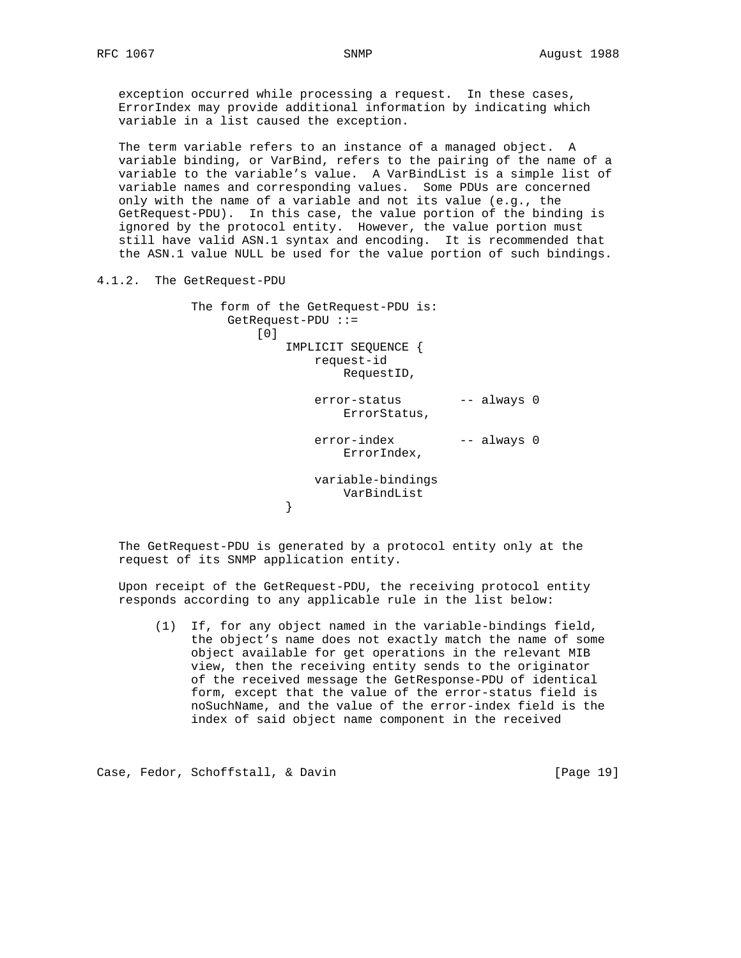exception occurred while processing a request. In these cases, ErrorIndex may provide additional information by indicating which variable in a list caused the exception.

 The term variable refers to an instance of a managed object. A variable binding, or VarBind, refers to the pairing of the name of a variable to the variable's value. A VarBindList is a simple list of variable names and corresponding values. Some PDUs are concerned only with the name of a variable and not its value (e.g., the GetRequest-PDU). In this case, the value portion of the binding is ignored by the protocol entity. However, the value portion must still have valid ASN.1 syntax and encoding. It is recommended that the ASN.1 value NULL be used for the value portion of such bindings.

4.1.2. The GetRequest-PDU

}

 The form of the GetRequest-PDU is: GetRequest-PDU ::= [0] IMPLICIT SEQUENCE { request-id RequestID, error-status -- always 0 ErrorStatus, error-index -- always 0 ErrorIndex,

 variable-bindings VarBindList<br>}

 The GetRequest-PDU is generated by a protocol entity only at the request of its SNMP application entity.

 Upon receipt of the GetRequest-PDU, the receiving protocol entity responds according to any applicable rule in the list below:

 (1) If, for any object named in the variable-bindings field, the object's name does not exactly match the name of some object available for get operations in the relevant MIB view, then the receiving entity sends to the originator of the received message the GetResponse-PDU of identical form, except that the value of the error-status field is noSuchName, and the value of the error-index field is the index of said object name component in the received

Case, Fedor, Schoffstall, & Davin [Page 19]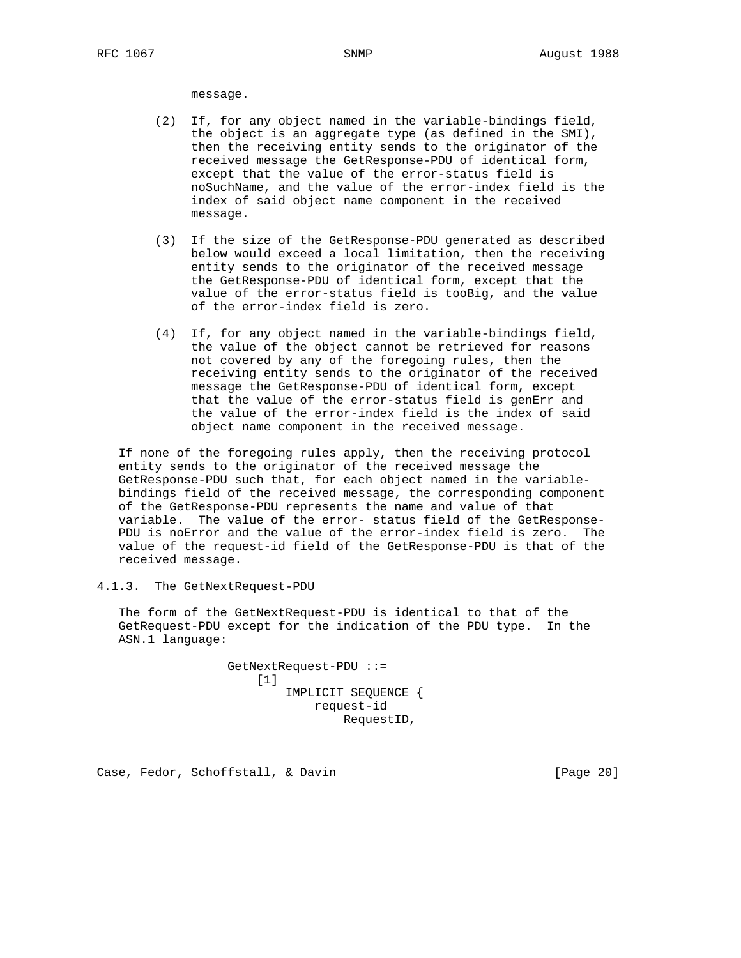message.

- (2) If, for any object named in the variable-bindings field, the object is an aggregate type (as defined in the SMI), then the receiving entity sends to the originator of the received message the GetResponse-PDU of identical form, except that the value of the error-status field is noSuchName, and the value of the error-index field is the index of said object name component in the received message.
- (3) If the size of the GetResponse-PDU generated as described below would exceed a local limitation, then the receiving entity sends to the originator of the received message the GetResponse-PDU of identical form, except that the value of the error-status field is tooBig, and the value of the error-index field is zero.
- (4) If, for any object named in the variable-bindings field, the value of the object cannot be retrieved for reasons not covered by any of the foregoing rules, then the receiving entity sends to the originator of the received message the GetResponse-PDU of identical form, except that the value of the error-status field is genErr and the value of the error-index field is the index of said object name component in the received message.

 If none of the foregoing rules apply, then the receiving protocol entity sends to the originator of the received message the GetResponse-PDU such that, for each object named in the variable bindings field of the received message, the corresponding component of the GetResponse-PDU represents the name and value of that variable. The value of the error- status field of the GetResponse- PDU is noError and the value of the error-index field is zero. The value of the request-id field of the GetResponse-PDU is that of the received message.

4.1.3. The GetNextRequest-PDU

 The form of the GetNextRequest-PDU is identical to that of the GetRequest-PDU except for the indication of the PDU type. In the ASN.1 language:

> GetNextRequest-PDU ::= [1] IMPLICIT SEQUENCE { request-id RequestID,

Case, Fedor, Schoffstall, & Davin [Page 20]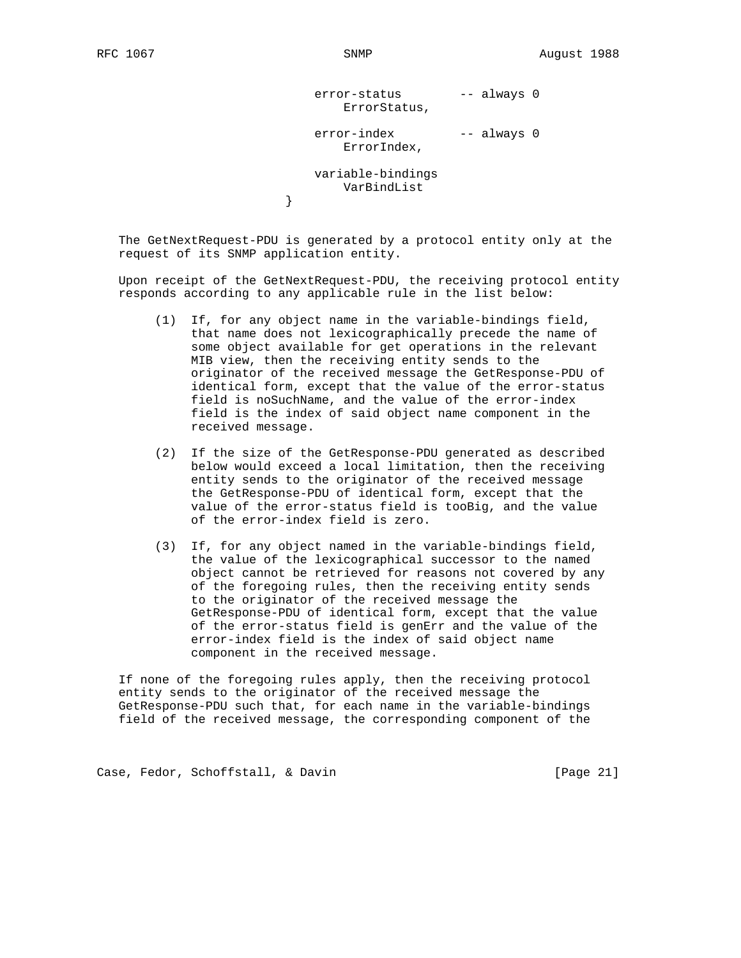}

error-status -- always 0 ErrorStatus,

# error-index -- always 0 ErrorIndex,

 variable-bindings VarBindList<br>}

 The GetNextRequest-PDU is generated by a protocol entity only at the request of its SNMP application entity.

 Upon receipt of the GetNextRequest-PDU, the receiving protocol entity responds according to any applicable rule in the list below:

- (1) If, for any object name in the variable-bindings field, that name does not lexicographically precede the name of some object available for get operations in the relevant MIB view, then the receiving entity sends to the originator of the received message the GetResponse-PDU of identical form, except that the value of the error-status field is noSuchName, and the value of the error-index field is the index of said object name component in the received message.
- (2) If the size of the GetResponse-PDU generated as described below would exceed a local limitation, then the receiving entity sends to the originator of the received message the GetResponse-PDU of identical form, except that the value of the error-status field is tooBig, and the value of the error-index field is zero.
- (3) If, for any object named in the variable-bindings field, the value of the lexicographical successor to the named object cannot be retrieved for reasons not covered by any of the foregoing rules, then the receiving entity sends to the originator of the received message the GetResponse-PDU of identical form, except that the value of the error-status field is genErr and the value of the error-index field is the index of said object name component in the received message.

 If none of the foregoing rules apply, then the receiving protocol entity sends to the originator of the received message the GetResponse-PDU such that, for each name in the variable-bindings field of the received message, the corresponding component of the

Case, Fedor, Schoffstall, & Davin [Page 21]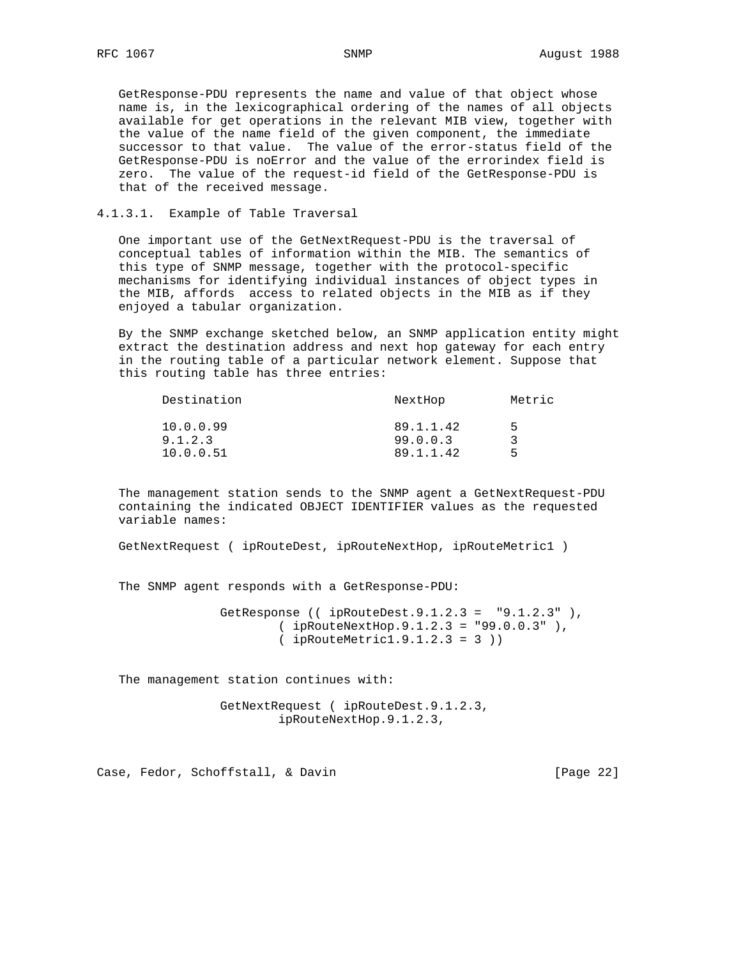GetResponse-PDU represents the name and value of that object whose name is, in the lexicographical ordering of the names of all objects available for get operations in the relevant MIB view, together with the value of the name field of the given component, the immediate successor to that value. The value of the error-status field of the GetResponse-PDU is noError and the value of the errorindex field is zero. The value of the request-id field of the GetResponse-PDU is that of the received message.

4.1.3.1. Example of Table Traversal

 One important use of the GetNextRequest-PDU is the traversal of conceptual tables of information within the MIB. The semantics of this type of SNMP message, together with the protocol-specific mechanisms for identifying individual instances of object types in the MIB, affords access to related objects in the MIB as if they enjoyed a tabular organization.

 By the SNMP exchange sketched below, an SNMP application entity might extract the destination address and next hop gateway for each entry in the routing table of a particular network element. Suppose that this routing table has three entries:

| NextHop   | Metric |
|-----------|--------|
| 89.1.1.42 | Б.     |
| 99.0.0.3  |        |
| 89.1.1.42 | Б.     |
|           |        |

 The management station sends to the SNMP agent a GetNextRequest-PDU containing the indicated OBJECT IDENTIFIER values as the requested variable names:

GetNextRequest ( ipRouteDest, ipRouteNextHop, ipRouteMetric1 )

The SNMP agent responds with a GetResponse-PDU:

 GetResponse (( ipRouteDest.9.1.2.3 = "9.1.2.3" ), ( ipRouteNextHop.9.1.2.3 = "99.0.0.3" ), ( ipRouteMetric1.9.1.2.3 = 3 ))

The management station continues with:

 GetNextRequest ( ipRouteDest.9.1.2.3, ipRouteNextHop.9.1.2.3,

Case, Fedor, Schoffstall, & Davin [Page 22]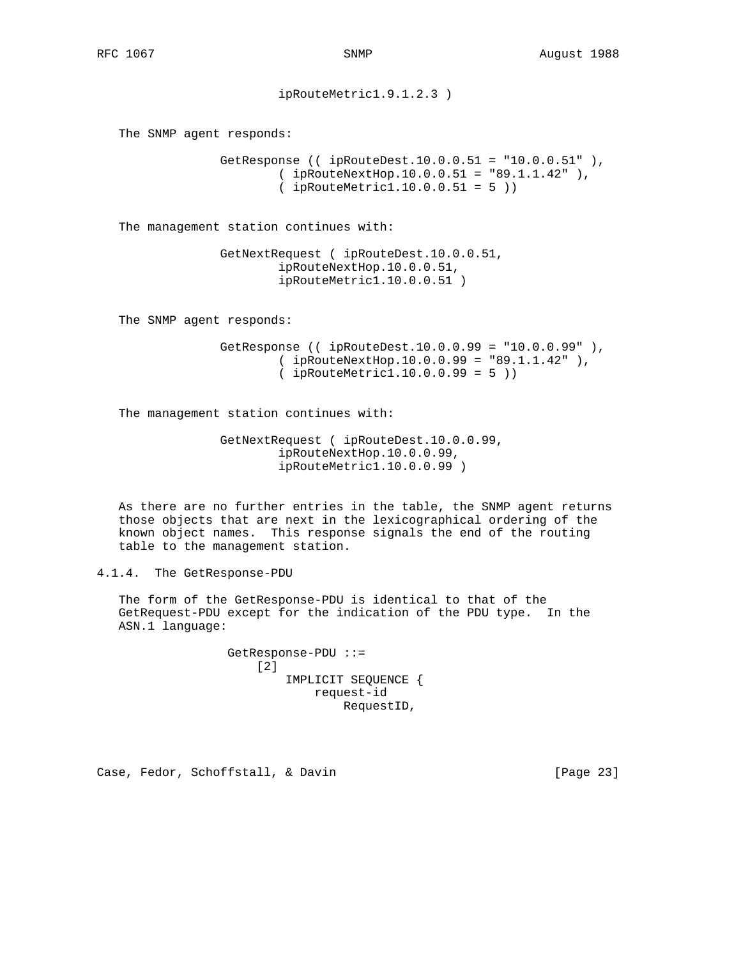ipRouteMetric1.9.1.2.3 )

The SNMP agent responds:

```
 GetResponse (( ipRouteDest.10.0.0.51 = "10.0.0.51" ),
         ( ipRouteNextHop.10.0.0.51 = "89.1.1.42" ),
         ( ipRouteMetric1.10.0.0.51 = 5 ))
```
The management station continues with:

 GetNextRequest ( ipRouteDest.10.0.0.51, ipRouteNextHop.10.0.0.51, ipRouteMetric1.10.0.0.51 )

The SNMP agent responds:

```
 GetResponse (( ipRouteDest.10.0.0.99 = "10.0.0.99" ),
         ( ipRouteNextHop.10.0.0.99 = "89.1.1.42" ),
         ( ipRouteMetric1.10.0.0.99 = 5 ))
```
The management station continues with:

 GetNextRequest ( ipRouteDest.10.0.0.99, ipRouteNextHop.10.0.0.99, ipRouteMetric1.10.0.0.99 )

 As there are no further entries in the table, the SNMP agent returns those objects that are next in the lexicographical ordering of the known object names. This response signals the end of the routing table to the management station.

4.1.4. The GetResponse-PDU

 The form of the GetResponse-PDU is identical to that of the GetRequest-PDU except for the indication of the PDU type. In the ASN.1 language:

> GetResponse-PDU ::= [2] IMPLICIT SEQUENCE { request-id RequestID,

Case, Fedor, Schoffstall, & Davin [Page 23]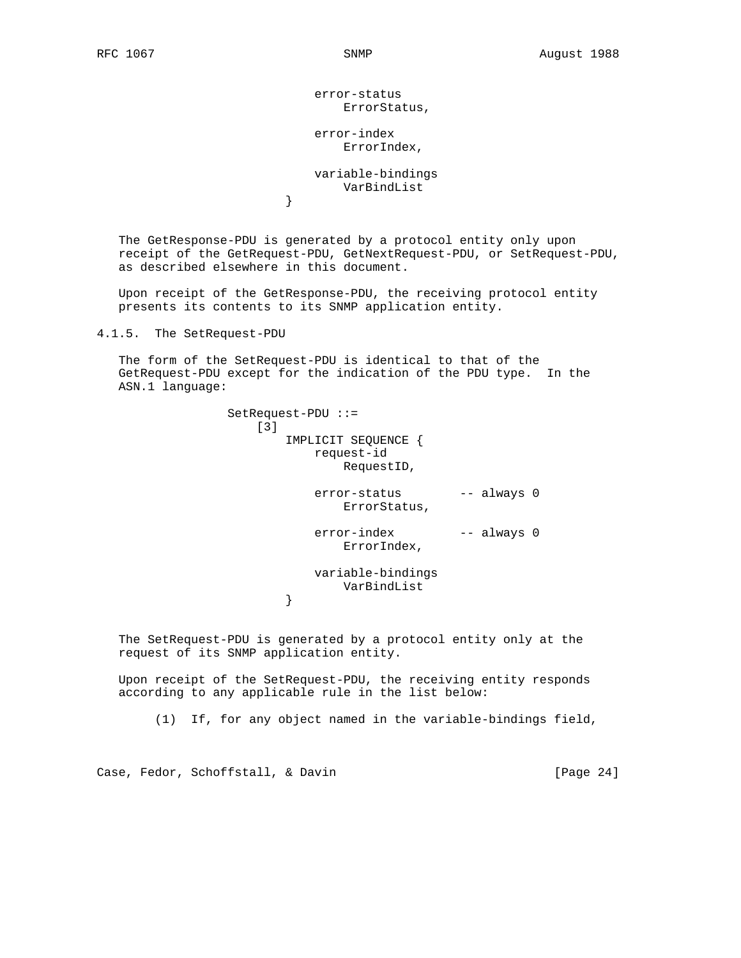error-status ErrorStatus,

 error-index ErrorIndex,

 variable-bindings VarBindList<br>}

 The GetResponse-PDU is generated by a protocol entity only upon receipt of the GetRequest-PDU, GetNextRequest-PDU, or SetRequest-PDU, as described elsewhere in this document.

 Upon receipt of the GetResponse-PDU, the receiving protocol entity presents its contents to its SNMP application entity.

4.1.5. The SetRequest-PDU

}

 The form of the SetRequest-PDU is identical to that of the GetRequest-PDU except for the indication of the PDU type. In the ASN.1 language:

> SetRequest-PDU ::= [3] IMPLICIT SEQUENCE { request-id RequestID,

- error-status -- always 0 ErrorStatus,
- error-index -- always 0 ErrorIndex,

 variable-bindings VarBindList<br>}

 The SetRequest-PDU is generated by a protocol entity only at the request of its SNMP application entity.

 Upon receipt of the SetRequest-PDU, the receiving entity responds according to any applicable rule in the list below:

(1) If, for any object named in the variable-bindings field,

Case, Fedor, Schoffstall, & Davin [Page 24]

}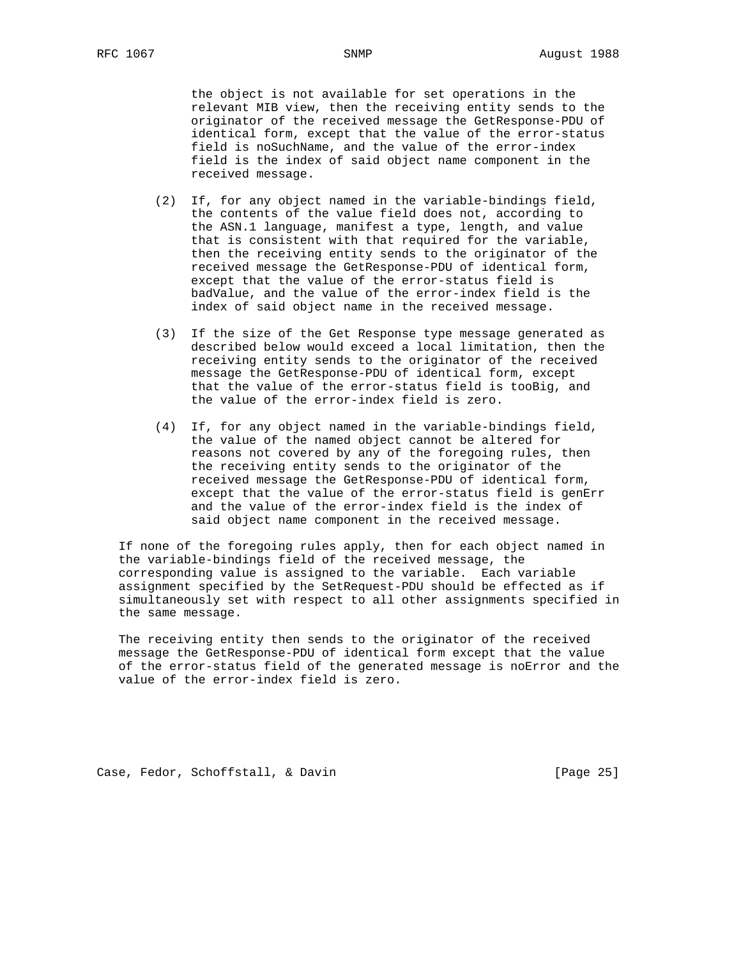the object is not available for set operations in the relevant MIB view, then the receiving entity sends to the originator of the received message the GetResponse-PDU of identical form, except that the value of the error-status field is noSuchName, and the value of the error-index field is the index of said object name component in the received message.

- (2) If, for any object named in the variable-bindings field, the contents of the value field does not, according to the ASN.1 language, manifest a type, length, and value that is consistent with that required for the variable, then the receiving entity sends to the originator of the received message the GetResponse-PDU of identical form, except that the value of the error-status field is badValue, and the value of the error-index field is the index of said object name in the received message.
- (3) If the size of the Get Response type message generated as described below would exceed a local limitation, then the receiving entity sends to the originator of the received message the GetResponse-PDU of identical form, except that the value of the error-status field is tooBig, and the value of the error-index field is zero.
- (4) If, for any object named in the variable-bindings field, the value of the named object cannot be altered for reasons not covered by any of the foregoing rules, then the receiving entity sends to the originator of the received message the GetResponse-PDU of identical form, except that the value of the error-status field is genErr and the value of the error-index field is the index of said object name component in the received message.

 If none of the foregoing rules apply, then for each object named in the variable-bindings field of the received message, the corresponding value is assigned to the variable. Each variable assignment specified by the SetRequest-PDU should be effected as if simultaneously set with respect to all other assignments specified in the same message.

 The receiving entity then sends to the originator of the received message the GetResponse-PDU of identical form except that the value of the error-status field of the generated message is noError and the value of the error-index field is zero.

Case, Fedor, Schoffstall, & Davin [Page 25]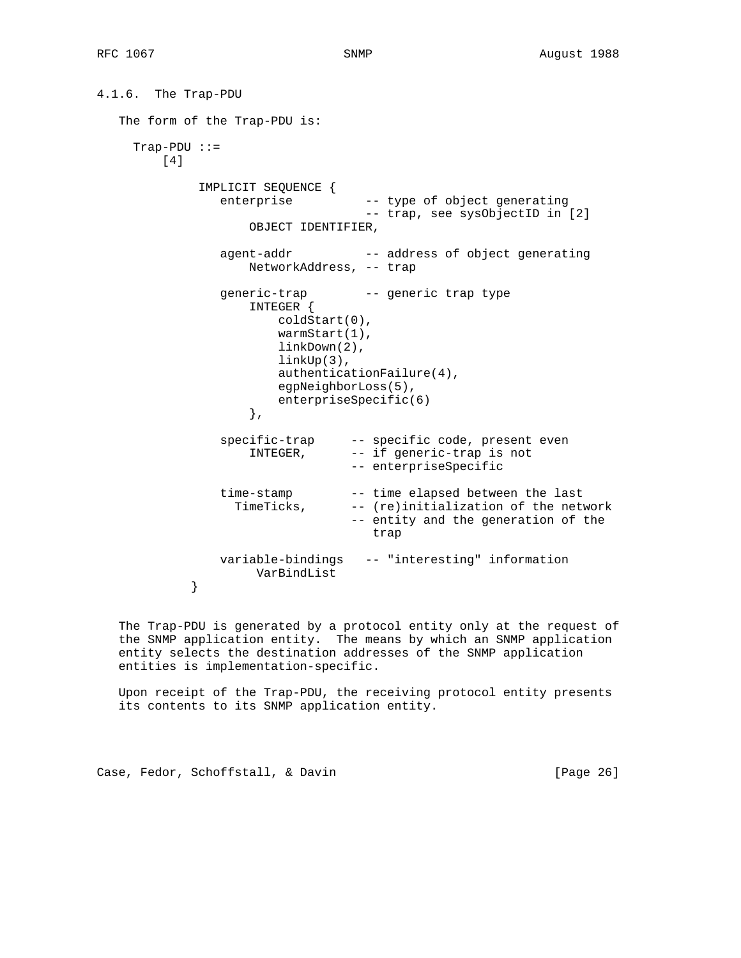```
4.1.6. The Trap-PDU
   The form of the Trap-PDU is:
     Trap-PDU ::=
         [4]
              IMPLICIT SEQUENCE {
                 enterprise -- type of object generating
                                     -- trap, see sysObjectID in [2]
                     OBJECT IDENTIFIER,
                agent-addr -- address of object generating
                     NetworkAddress, -- trap
                 generic-trap -- generic trap type
                     INTEGER {
                         coldStart(0),
                         warmStart(1),
                         linkDown(2),
                         linkUp(3),
                         authenticationFailure(4),
                         egpNeighborLoss(5),
                    enterpriseSpecific(6)<br>},
\},
                specific-trap -- specific code, present even<br>INTEGER, -- if generic-trap is not
                                  -- if generic-trap is not
                                   -- enterpriseSpecific
                 time-stamp -- time elapsed between the last
                   TimeTicks, -- (re)initialization of the network
                                   -- entity and the generation of the
                                      trap
                 variable-bindings -- "interesting" information
            VarBindList
 }
```
 The Trap-PDU is generated by a protocol entity only at the request of the SNMP application entity. The means by which an SNMP application entity selects the destination addresses of the SNMP application entities is implementation-specific.

 Upon receipt of the Trap-PDU, the receiving protocol entity presents its contents to its SNMP application entity.

Case, Fedor, Schoffstall, & Davin [Page 26]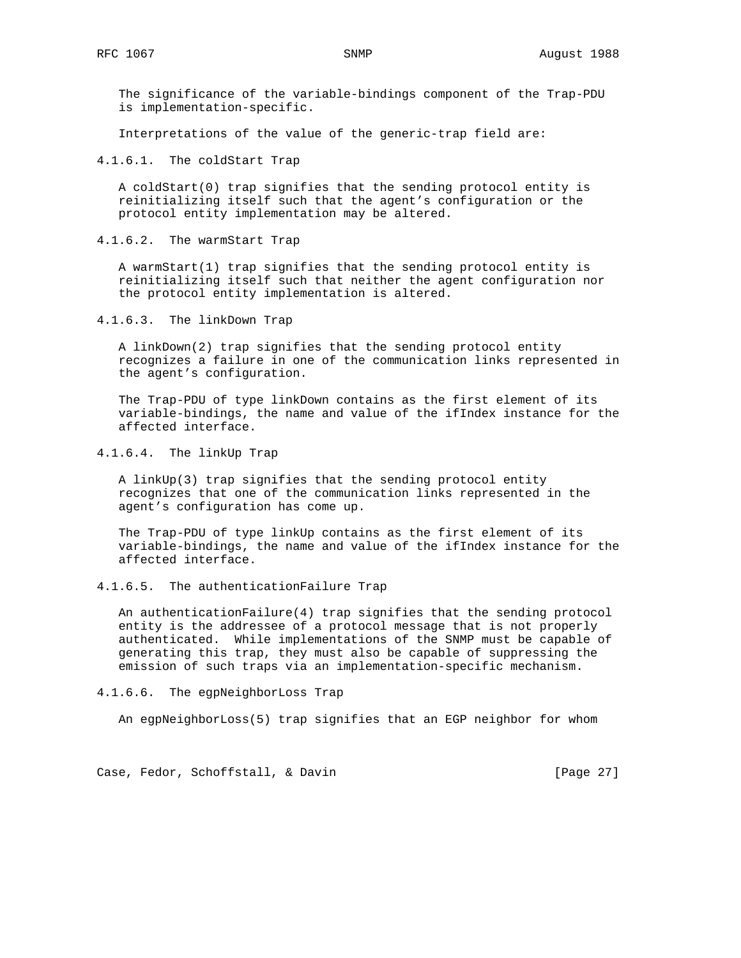The significance of the variable-bindings component of the Trap-PDU is implementation-specific.

Interpretations of the value of the generic-trap field are:

4.1.6.1. The coldStart Trap

 A coldStart(0) trap signifies that the sending protocol entity is reinitializing itself such that the agent's configuration or the protocol entity implementation may be altered.

4.1.6.2. The warmStart Trap

 A warmStart(1) trap signifies that the sending protocol entity is reinitializing itself such that neither the agent configuration nor the protocol entity implementation is altered.

4.1.6.3. The linkDown Trap

 A linkDown(2) trap signifies that the sending protocol entity recognizes a failure in one of the communication links represented in the agent's configuration.

 The Trap-PDU of type linkDown contains as the first element of its variable-bindings, the name and value of the ifIndex instance for the affected interface.

4.1.6.4. The linkUp Trap

 A linkUp(3) trap signifies that the sending protocol entity recognizes that one of the communication links represented in the agent's configuration has come up.

 The Trap-PDU of type linkUp contains as the first element of its variable-bindings, the name and value of the ifIndex instance for the affected interface.

4.1.6.5. The authenticationFailure Trap

 An authenticationFailure(4) trap signifies that the sending protocol entity is the addressee of a protocol message that is not properly authenticated. While implementations of the SNMP must be capable of generating this trap, they must also be capable of suppressing the emission of such traps via an implementation-specific mechanism.

# 4.1.6.6. The egpNeighborLoss Trap

An egpNeighborLoss(5) trap signifies that an EGP neighbor for whom

Case, Fedor, Schoffstall, & Davin [Page 27]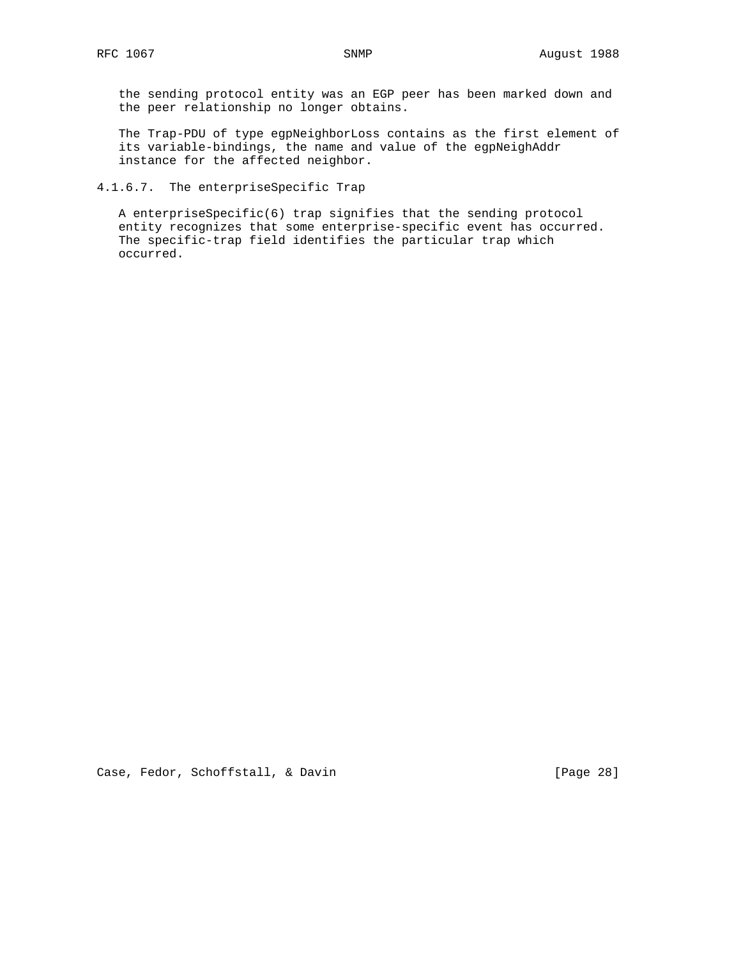the sending protocol entity was an EGP peer has been marked down and the peer relationship no longer obtains.

 The Trap-PDU of type egpNeighborLoss contains as the first element of its variable-bindings, the name and value of the egpNeighAddr instance for the affected neighbor.

4.1.6.7. The enterpriseSpecific Trap

 A enterpriseSpecific(6) trap signifies that the sending protocol entity recognizes that some enterprise-specific event has occurred. The specific-trap field identifies the particular trap which occurred.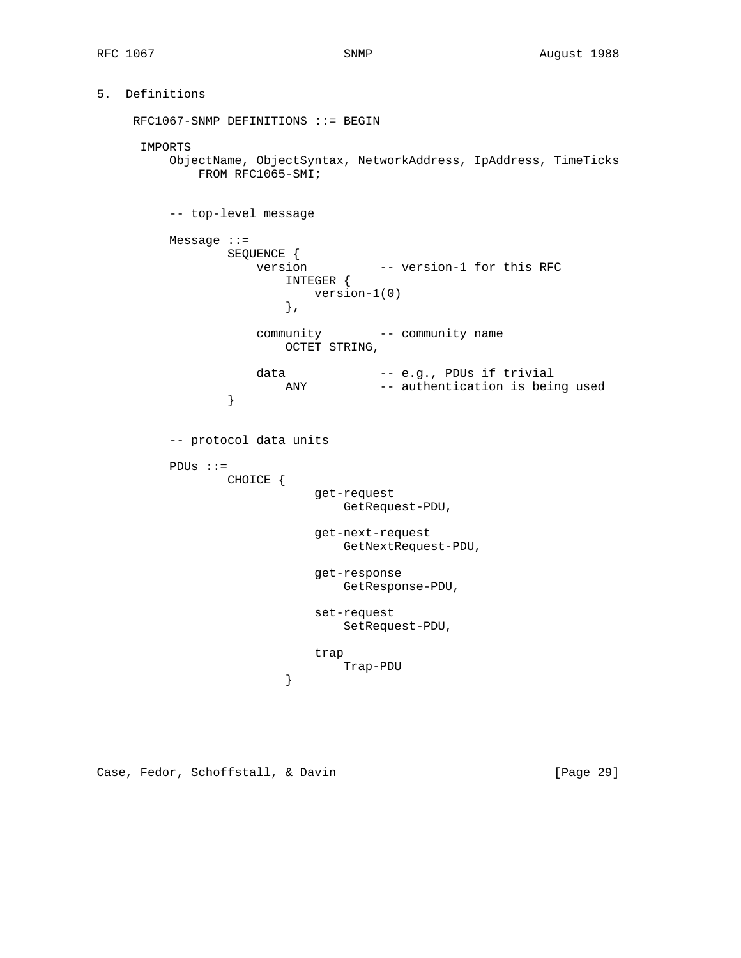# 5. Definitions

 RFC1067-SNMP DEFINITIONS ::= BEGIN IMPORTS ObjectName, ObjectSyntax, NetworkAddress, IpAddress, TimeTicks FROM RFC1065-SMI; -- top-level message Message ::= SEQUENCE { version -- version-1 for this RFC INTEGER { version-1(0)  $\}$ ,  $\{$  community -- community name OCTET STRING, data -- e.g., PDUs if trivial ANY -- authentication is being used } -- protocol data units PDUs ::= CHOICE { get-request GetRequest-PDU, get-next-request GetNextRequest-PDU, get-response GetResponse-PDU, set-request SetRequest-PDU, trap Trap-PDU }

Case, Fedor, Schoffstall, & Davin [Page 29]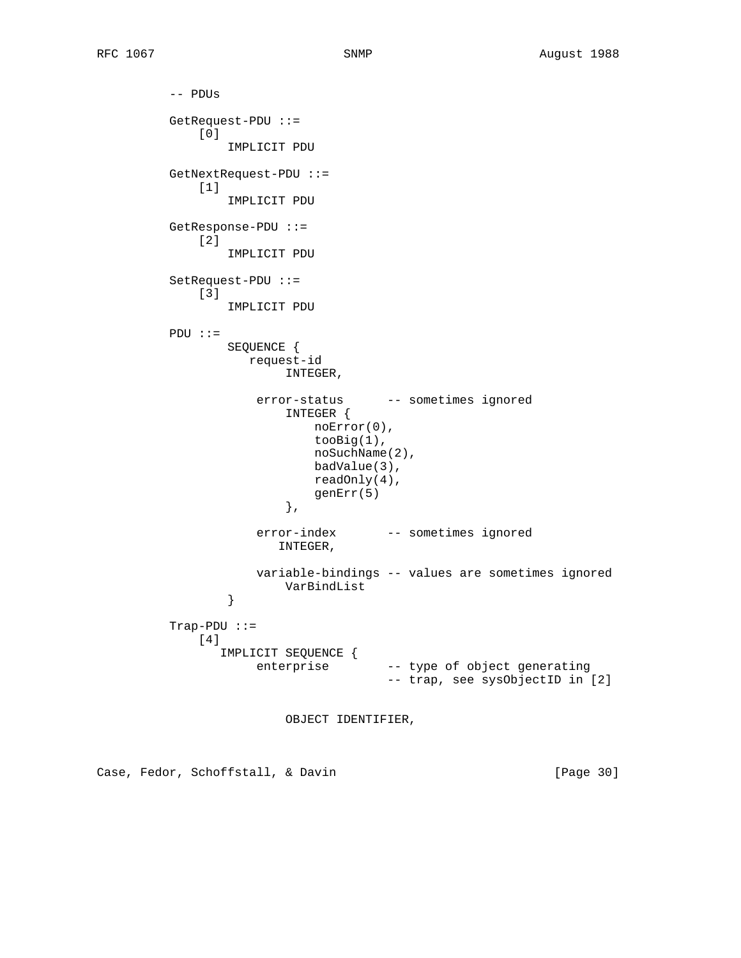-- PDUs GetRequest-PDU ::= [0] IMPLICIT PDU GetNextRequest-PDU ::= [1] IMPLICIT PDU GetResponse-PDU ::= [2] IMPLICIT PDU SetRequest-PDU ::= [3] IMPLICIT PDU PDU ::= SEQUENCE { request-id INTEGER, error-status -- sometimes ignored INTEGER { noError(0), tooBig(1), noSuchName(2), badValue(3), readOnly(4), genErr(5)  $\}$ ,  $\{$  error-index -- sometimes ignored INTEGER, variable-bindings -- values are sometimes ignored VarBindList<br>} } Trap-PDU ::= [4] IMPLICIT SEQUENCE { enterprise -- type of object generating -- trap, see sysObjectID in [2]

OBJECT IDENTIFIER,

Case, Fedor, Schoffstall, & Davin (Page 30)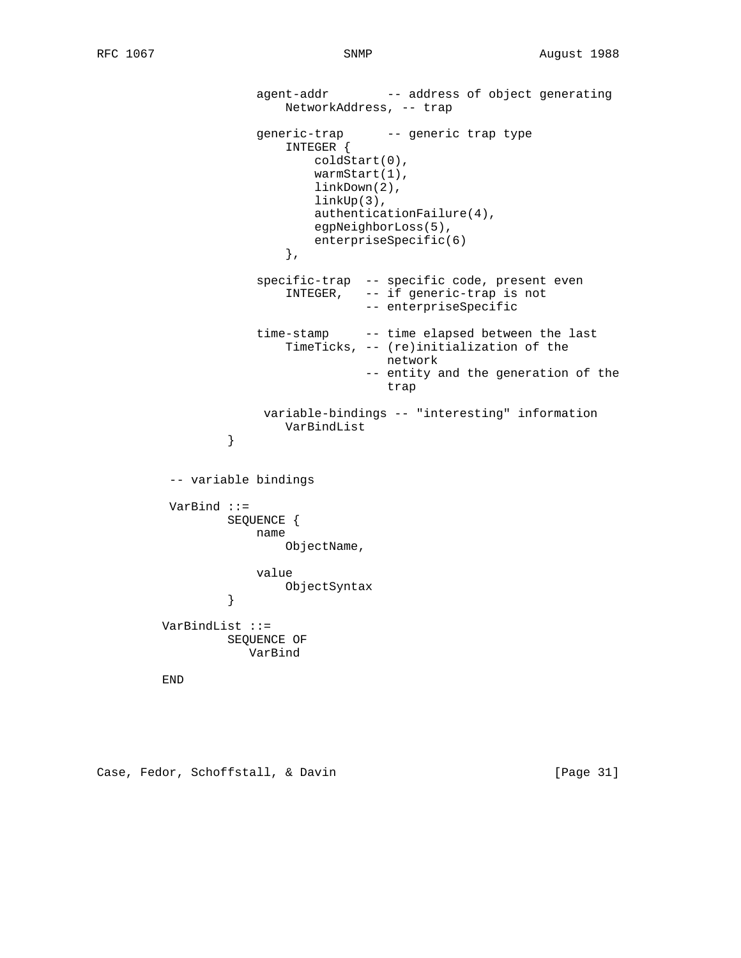```
agent-addr -- address of object generating
                              NetworkAddress, -- trap
                          generic-trap -- generic trap type
                               INTEGER {
                                   coldStart(0),
                                   warmStart(1),
                                   linkDown(2),
                                   linkUp(3),
                                   authenticationFailure(4),
                                   egpNeighborLoss(5),
                              enterpriseSpecific(6)<br>},
\}, \{ specific-trap -- specific code, present even
                               INTEGER, -- if generic-trap is not
                                           -- enterpriseSpecific
                          time-stamp -- time elapsed between the last
                               TimeTicks, -- (re)initialization of the
                                              network
                                           -- entity and the generation of the
trap and the contract of the contract of the contract of the contract of the contract of the contract of the contract of the contract of the contract of the contract of the contract of the contract of the contract of the c
                           variable-bindings -- "interesting" information
                    VarBindList<br>}
 }
            -- variable bindings
            VarBind ::=
                     SEQUENCE {
                          name
                              ObjectName,
                         value
                     ObjectSyntax
 }
           VarBindList ::=
                     SEQUENCE OF
                        VarBind
           END
```
Case, Fedor, Schoffstall, & Davin [Page 31]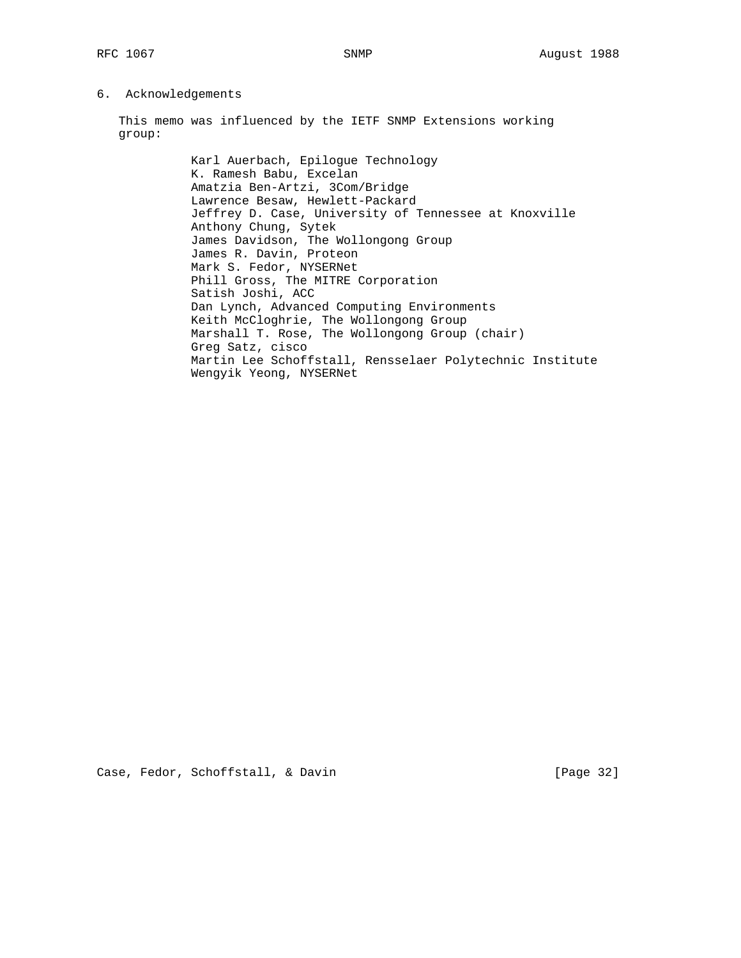# 6. Acknowledgements

 This memo was influenced by the IETF SNMP Extensions working group:

> Karl Auerbach, Epilogue Technology K. Ramesh Babu, Excelan Amatzia Ben-Artzi, 3Com/Bridge Lawrence Besaw, Hewlett-Packard Jeffrey D. Case, University of Tennessee at Knoxville Anthony Chung, Sytek James Davidson, The Wollongong Group James R. Davin, Proteon Mark S. Fedor, NYSERNet Phill Gross, The MITRE Corporation Satish Joshi, ACC Dan Lynch, Advanced Computing Environments Keith McCloghrie, The Wollongong Group Marshall T. Rose, The Wollongong Group (chair) Greg Satz, cisco Martin Lee Schoffstall, Rensselaer Polytechnic Institute Wengyik Yeong, NYSERNet